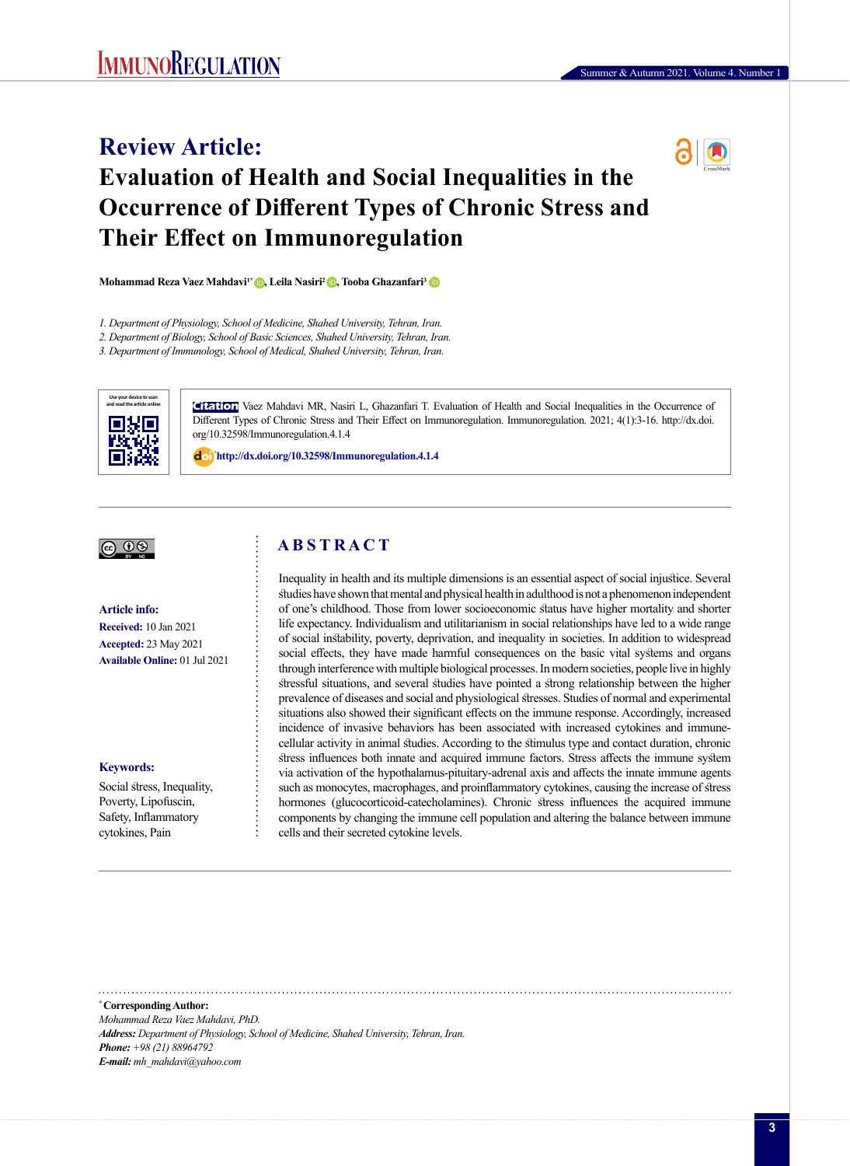# **Review Article: Evaluation of Health and Social Inequalities in the Occurrence of Different Types of Chronic Stress and Their Effect on Immunoregulation**



**Mohammad Reza Vaez Mahdavi<sup>1</sup>\* (D, Leila Nasiri<sup>2</sup> (D, Tooba Ghazanfari<sup>[3](https://orcid.org/0000-0002-1049-7095)</sup> (D)** 

*2. Department of Biology, School of Basic Sciences, Shahed University, Tehran, Iran.*

*3. Department of Immunology, School of Medical, Shahed University, Tehran, Iran.*



**Citation** Vaez Mahdavi MR, Nasiri L, Ghazanfari T. Evaluation of Health and Social Inequalities in the Occurrence of Different Types of Chronic Stress and Their Effect on Immunoregulation. Immunoregulation. 2021; 4(1):3-16. http://dx.doi. org/10.32598/Immunoregulation.4.1.4

: **<http://dx.doi.org/10.32598/Immunoregulation.4.1.4>**

# |ര 0�

**Article info: Received:** 10 Jan 2021 **Accepted:** 23 May 2021 **Available Online:** 01 Jul 2021

#### **Keywords:**

Social stress, Inequality, Poverty, Lipofuscin, Safety, Inflammatory cytokines, Pain

# **A B S T R A C T**

Inequality in health and its multiple dimensions is an essential aspect of social injustice. Several studies have shown that mental and physical health in adulthood is not a phenomenon independent of one's childhood. Those from lower socioeconomic status have higher mortality and shorter life expectancy. Individualism and utilitarianism in social relationships have led to a wide range of social instability, poverty, deprivation, and inequality in societies. In addition to widespread social effects, they have made harmful consequences on the basic vital systems and organs through interference with multiple biological processes. In modern societies, people live in highly stressful situations, and several studies have pointed a strong relationship between the higher prevalence of diseases and social and physiological stresses. Studies of normal and experimental situations also showed their significant effects on the immune response. Accordingly, increased incidence of invasive behaviors has been associated with increased cytokines and immunecellular activity in animal studies. According to the stimulus type and contact duration, chronic stress influences both innate and acquired immune factors. Stress affects the immune system via activation of the hypothalamus-pituitary-adrenal axis and affects the innate immune agents such as monocytes, macrophages, and proinflammatory cytokines, causing the increase of stress hormones (glucocorticoid-catecholamines). Chronic stress influences the acquired immune components by changing the immune cell population and altering the balance between immune cells and their secreted cytokine levels.

**\* Corresponding Author:** *Mohammad Reza Vaez Mahdavi, PhD. Address: Department of Physiology, School of Medicine, Shahed University, Tehran, Iran. Phone: +98 (21) 88964792 E-mail: mh\_mahdavi@yahoo.com* 

*<sup>1.</sup> Department of Physiology, School of Medicine, Shahed University, Tehran, Iran.*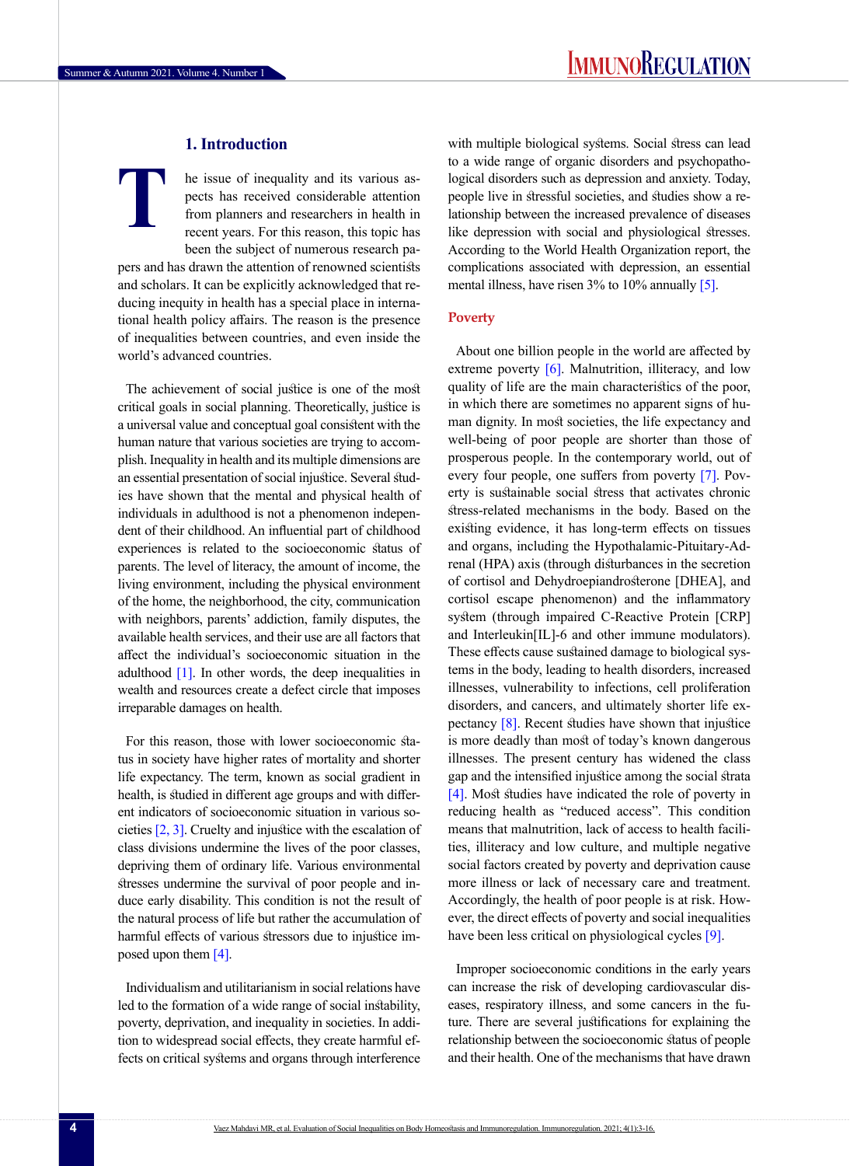# **1. Introduction**

he issue of inequality and its various aspects has received considerable attention from planners and researchers in health in recent years. For this reason, this topic has been the subject of numerous research pa-**T**

pers and has drawn the attention of renowned scientists and scholars. It can be explicitly acknowledged that reducing inequity in health has a special place in international health policy affairs. The reason is the presence of inequalities between countries, and even inside the world's advanced countries.

The achievement of social justice is one of the most critical goals in social planning. Theoretically, justice is a universal value and conceptual goal consistent with the human nature that various societies are trying to accomplish. Inequality in health and its multiple dimensions are an essential presentation of social injustice. Several studies have shown that the mental and physical health of individuals in adulthood is not a phenomenon independent of their childhood. An influential part of childhood experiences is related to the socioeconomic status of parents. The level of literacy, the amount of income, the living environment, including the physical environment of the home, the neighborhood, the city, communication with neighbors, parents' addiction, family disputes, the available health services, and their use are all factors that affect the individual's socioeconomic situation in the adulthood  $[1]$ . In other words, the deep inequalities in wealth and resources create a defect circle that imposes irreparable damages on health.

For this reason, those with lower socioeconomic status in society have higher rates of mortality and shorter life expectancy. The term, known as social gradient in health, is studied in different age groups and with different indicators of socioeconomic situation in various societies [2, 3]. Cruelty and injustice with the escalation of class divisions undermine the lives of the poor classes, depriving them of ordinary life. Various environmental stresses undermine the survival of poor people and induce early disability. This condition is not the result of the natural process of life but rather the accumulation of harmful effects of various stressors due to injustice imposed upon them [4].

Individualism and utilitarianism in social relations have led to the formation of a wide range of social instability, poverty, deprivation, and inequality in societies. In addition to widespread social effects, they create harmful effects on critical systems and organs through interference with multiple biological systems. Social stress can lead to a wide range of organic disorders and psychopathological disorders such as depression and anxiety. Today, people live in stressful societies, and studies show a relationship between the increased prevalence of diseases like depression with social and physiological stresses. According to the World Health Organization report, the complications associated with depression, an essential mental illness, have risen 3% to 10% annually [5].

# **Poverty**

About one billion people in the world are affected by extreme poverty [6]. Malnutrition, illiteracy, and low quality of life are the main characteristics of the poor, in which there are sometimes no apparent signs of human dignity. In most societies, the life expectancy and well-being of poor people are shorter than those of prosperous people. In the contemporary world, out of every four people, one suffers from poverty [7]. Poverty is sustainable social stress that activates chronic stress-related mechanisms in the body. Based on the existing evidence, it has long-term effects on tissues and organs, including the Hypothalamic-Pituitary-Adrenal (HPA) axis (through disturbances in the secretion of cortisol and Dehydroepiandrosterone [DHEA], and cortisol escape phenomenon) and the inflammatory system (through impaired C-Reactive Protein [CRP] and Interleukin[IL]-6 and other immune modulators). These effects cause sustained damage to biological systems in the body, leading to health disorders, increased illnesses, vulnerability to infections, cell proliferation disorders, and cancers, and ultimately shorter life expectancy [8]. Recent studies have shown that injustice is more deadly than most of today's known dangerous illnesses. The present century has widened the class gap and the intensified injustice among the social strata [4]. Most studies have indicated the role of poverty in reducing health as "reduced access". This condition means that malnutrition, lack of access to health facilities, illiteracy and low culture, and multiple negative social factors created by poverty and deprivation cause more illness or lack of necessary care and treatment. Accordingly, the health of poor people is at risk. However, the direct effects of poverty and social inequalities have been less critical on physiological cycles [9].

Improper socioeconomic conditions in the early years can increase the risk of developing cardiovascular diseases, respiratory illness, and some cancers in the future. There are several justifications for explaining the relationship between the socioeconomic status of people and their health. One of the mechanisms that have drawn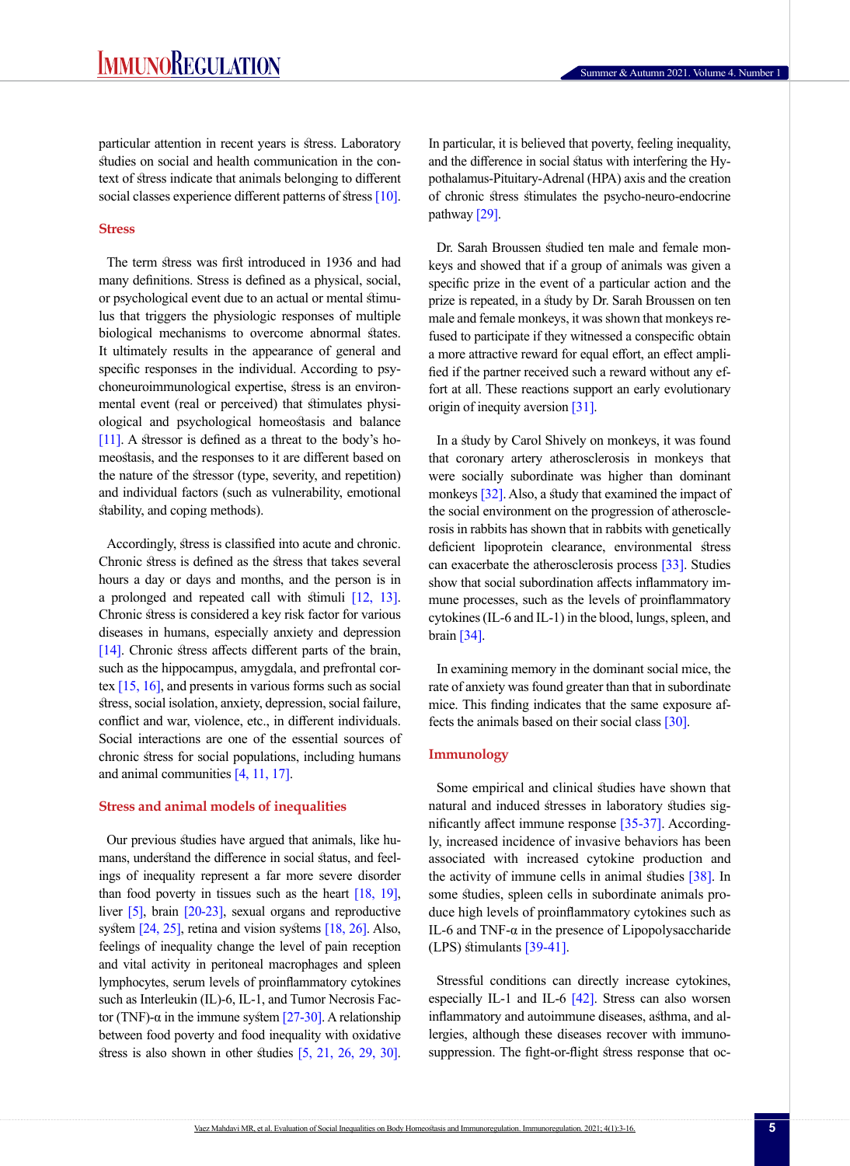particular attention in recent years is stress. Laboratory studies on social and health communication in the context of stress indicate that animals belonging to different social classes experience different patterns of stress [10].

## **Stress**

The term stress was first introduced in 1936 and had many definitions. Stress is defined as a physical, social, or psychological event due to an actual or mental stimulus that triggers the physiologic responses of multiple biological mechanisms to overcome abnormal states. It ultimately results in the appearance of general and specific responses in the individual. According to psychoneuroimmunological expertise, stress is an environmental event (real or perceived) that stimulates physiological and psychological homeostasis and balance [11]. A stressor is defined as a threat to the body's homeostasis, and the responses to it are different based on the nature of the stressor (type, severity, and repetition) and individual factors (such as vulnerability, emotional stability, and coping methods).

Accordingly, stress is classified into acute and chronic. Chronic stress is defined as the stress that takes several hours a day or days and months, and the person is in a prolonged and repeated call with stimuli [12, 13]. Chronic stress is considered a key risk factor for various diseases in humans, especially anxiety and depression [14]. Chronic stress affects different parts of the brain, such as the hippocampus, amygdala, and prefrontal cortex [\[15,](#page-10-0) 16], and presents in various forms such as social stress, social isolation, anxiety, depression, social failure, conflict and war, violence, etc., in different individuals. Social interactions are one of the essential sources of chronic stress for social populations, including humans and animal communities [4, 11, 17].

#### **Stress and animal models of inequalities**

Our previous studies have argued that animals, like humans, understand the difference in social status, and feelings of inequality represent a far more severe disorder than food poverty in tissues such as the heart  $[18, 19]$ , liver [5], brain [20-23], sexual organs and reproductive system [24, 25], retina and vision systems [18, 26]. Also, feelings of inequality change the level of pain reception and vital activity in peritoneal macrophages and spleen lymphocytes, serum levels of proinflammatory cytokines such as Interleukin (IL)-6, IL-1, and Tumor Necrosis Factor (TNF)-α in the immune system  $[27-30]$ . A relationship between food poverty and food inequality with oxidative stress is also shown in other studies [5, 21, 26, 29, 30]. In particular, it is believed that poverty, feeling inequality, and the difference in social status with interfering the Hypothalamus-Pituitary-Adrenal (HPA) axis and the creation of chronic stress stimulates the psycho-neuro-endocrine pathway [29].

Dr. Sarah Broussen studied ten male and female monkeys and showed that if a group of animals was given a specific prize in the event of a particular action and the prize is repeated, in a study by Dr. Sarah Broussen on ten male and female monkeys, it was shown that monkeys refused to participate if they witnessed a conspecific obtain a more attractive reward for equal effort, an effect amplified if the partner received such a reward without any effort at all. These reactions support an early evolutionary origin of inequity aversion [31].

In a study by Carol Shively on monkeys, it was found that coronary artery atherosclerosis in monkeys that were socially subordinate was higher than dominant monkeys [32]. Also, a study that examined the impact of the social environment on the progression of atherosclerosis in rabbits has shown that in rabbits with genetically deficient lipoprotein clearance, environmental stress can exacerbate the atherosclerosis process [33]. Studies show that social subordination affects inflammatory immune processes, such as the levels of proinflammatory cytokines (IL-6 and IL-1) in the blood, lungs, spleen, and brain [34].

In examining memory in the dominant social mice, the rate of anxiety was found greater than that in subordinate mice. This finding indicates that the same exposure affects the animals based on their social class [30].

# **Immunology**

Some empirical and clinical studies have shown that natural and induced stresses in laboratory studies significantly affect immune response [35-37]. Accordingly, increased incidence of invasive behaviors has been associated with increased cytokine production and the activity of immune cells in animal studies [38]. In some studies, spleen cells in subordinate animals produce high levels of proinflammatory cytokines such as IL-6 and TNF- $\alpha$  in the presence of Lipopolysaccharide (LPS) stimulants [39-41].

Stressful conditions can directly increase cytokines, especially IL-1 and IL-6 [42]. Stress can also worsen inflammatory and autoimmune diseases, asthma, and allergies, although these diseases recover with immunosuppression. The fight-or-flight stress response that oc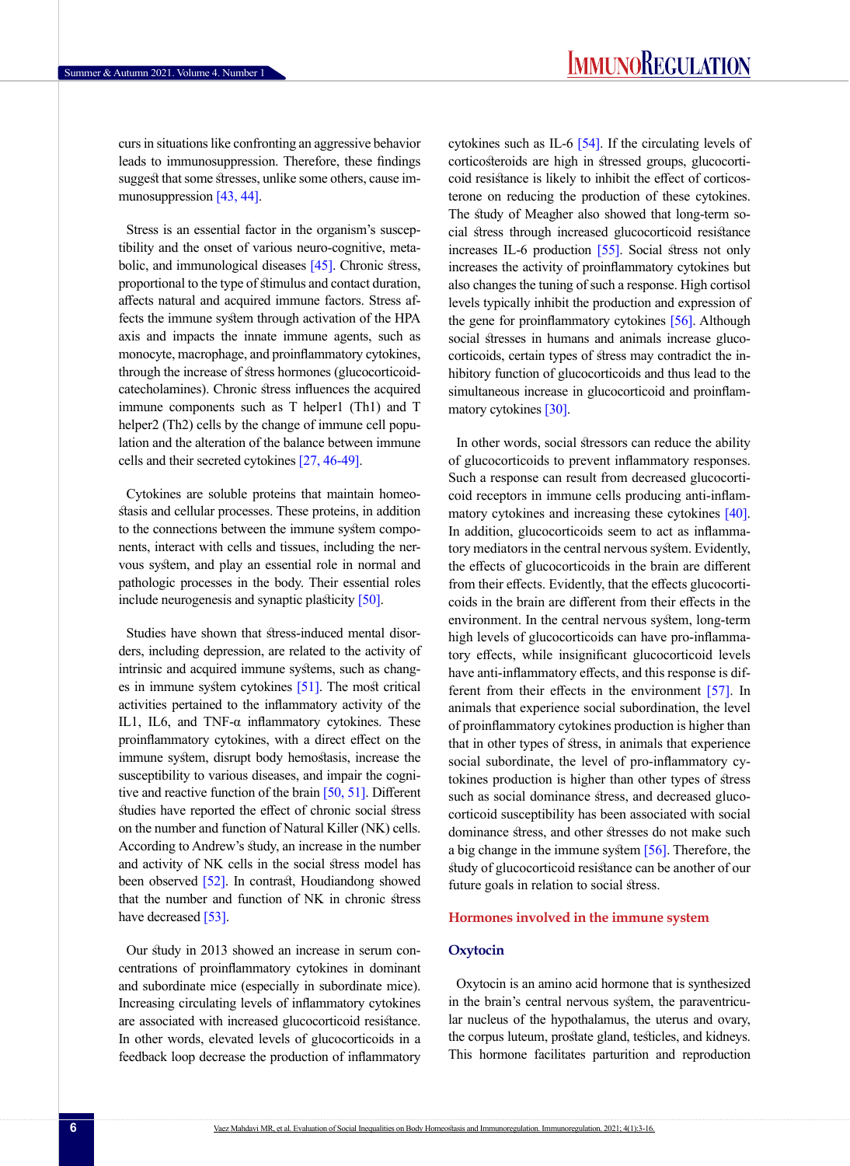curs in situations like confronting an aggressive behavior leads to immunosuppression. Therefore, these findings suggest that some stresses, unlike some others, cause immunosuppression [43, 44].

Stress is an essential factor in the organism's susceptibility and the onset of various neuro-cognitive, metabolic, and immunological diseases [45]. Chronic stress, proportional to the type of stimulus and contact duration, affects natural and acquired immune factors. Stress affects the immune system through activation of the HPA axis and impacts the innate immune agents, such as monocyte, macrophage, and proinflammatory cytokines, through the increase of stress hormones (glucocorticoidcatecholamines). Chronic stress influences the acquired immune components such as T helper1 (Th1) and T helper2 (Th2) cells by the change of immune cell population and the alteration of the balance between immune cells and their secreted cytokines [\[27,](#page-10-1) 46-49].

Cytokines are soluble proteins that maintain homeostasis and cellular processes. These proteins, in addition to the connections between the immune system components, interact with cells and tissues, including the nervous system, and play an essential role in normal and pathologic processes in the body. Their essential roles include neurogenesis and synaptic plasticity [50].

Studies have shown that stress-induced mental disorders, including depression, are related to the activity of intrinsic and acquired immune systems, such as changes in immune system cytokines [51]. The most critical activities pertained to the inflammatory activity of the IL1, IL6, and TNF-α inflammatory cytokines. These proinflammatory cytokines, with a direct effect on the immune system, disrupt body hemostasis, increase the susceptibility to various diseases, and impair the cognitive and reactive function of the brain [50, 51]. Different studies have reported the effect of chronic social stress on the number and function of Natural Killer (NK) cells. According to Andrew's study, an increase in the number and activity of NK cells in the social stress model has been observed [52]. In contrast, Houdiandong showed that the number and function of NK in chronic stress have decreased [53].

Our study in 2013 showed an increase in serum concentrations of proinflammatory cytokines in dominant and subordinate mice (especially in subordinate mice). Increasing circulating levels of inflammatory cytokines are associated with increased glucocorticoid resistance. In other words, elevated levels of glucocorticoids in a feedback loop decrease the production of inflammatory cytokines such as IL-6 [54]. If the circulating levels of corticosteroids are high in stressed groups, glucocorticoid resistance is likely to inhibit the effect of corticosterone on reducing the production of these cytokines. The study of Meagher also showed that long-term social stress through increased glucocorticoid resistance increases IL-6 production [55]. Social stress not only increases the activity of proinflammatory cytokines but also changes the tuning of such a response. High cortisol levels typically inhibit the production and expression of the gene for proinflammatory cytokines [56]. Although social stresses in humans and animals increase glucocorticoids, certain types of stress may contradict the inhibitory function of glucocorticoids and thus lead to the simultaneous increase in glucocorticoid and proinflammatory cytokines [\[30\].](#page-10-2)

In other words, social stressors can reduce the ability of glucocorticoids to prevent inflammatory responses. Such a response can result from decreased glucocorticoid receptors in immune cells producing anti-inflammatory cytokines and increasing these cytokines [\[40\]](#page-11-0). In addition, glucocorticoids seem to act as inflammatory mediators in the central nervous system. Evidently, the effects of glucocorticoids in the brain are different from their effects. Evidently, that the effects glucocorticoids in the brain are different from their effects in the environment. In the central nervous system, long-term high levels of glucocorticoids can have pro-inflammatory effects, while insignificant glucocorticoid levels have anti-inflammatory effects, and this response is different from their effects in the environment [57]. In animals that experience social subordination, the level of proinflammatory cytokines production is higher than that in other types of stress, in animals that experience social subordinate, the level of pro-inflammatory cytokines production is higher than other types of stress such as social dominance stress, and decreased glucocorticoid susceptibility has been associated with social dominance stress, and other stresses do not make such a big change in the immune system [56]. Therefore, the study of glucocorticoid resistance can be another of our future goals in relation to social stress.

## **Hormones involved in the immune system**

#### **Oxytocin**

Oxytocin is an amino acid hormone that is synthesized in the brain's central nervous system, the paraventricular nucleus of the hypothalamus, the uterus and ovary, the corpus luteum, prostate gland, testicles, and kidneys. This hormone facilitates parturition and reproduction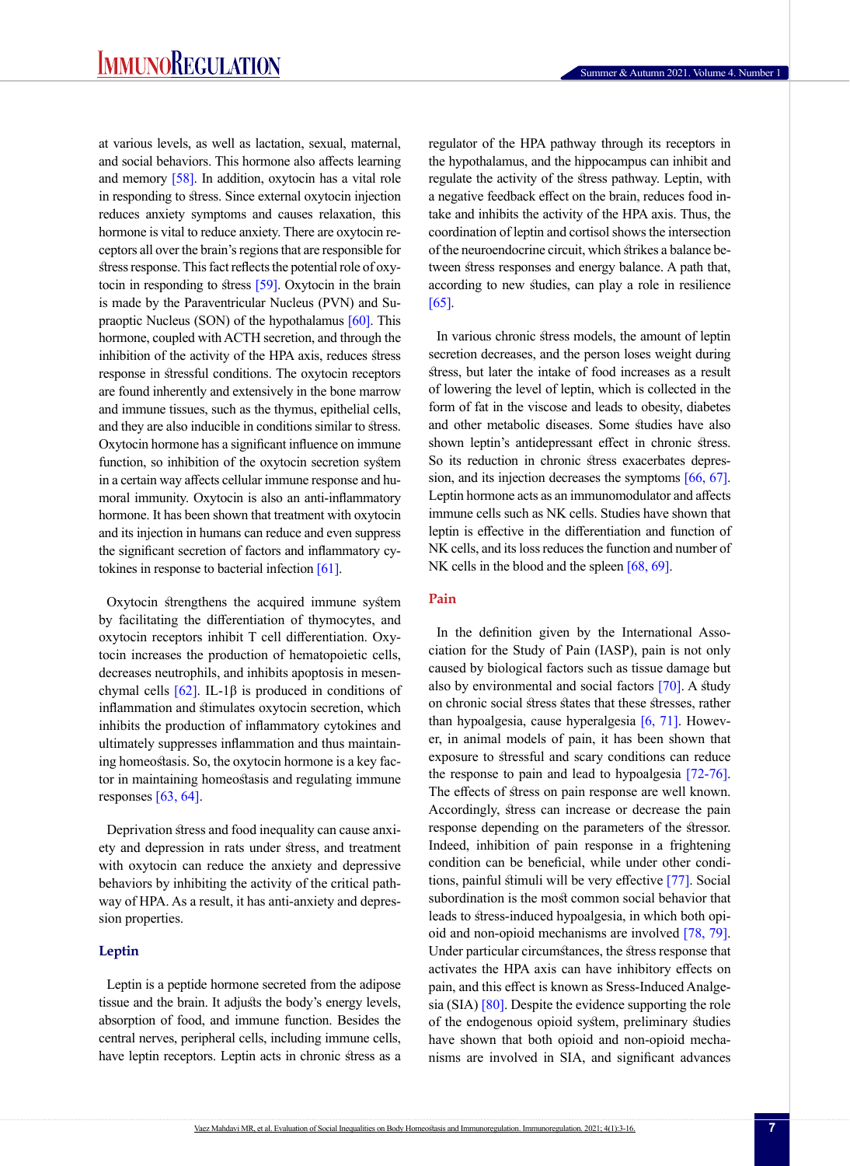at various levels, as well as lactation, sexual, maternal, and social behaviors. This hormone also affects learning and memory  $[58]$ . In addition, oxytocin has a vital role in responding to stress. Since external oxytocin injection reduces anxiety symptoms and causes relaxation, this hormone is vital to reduce anxiety. There are oxytocin receptors all over the brain's regions that are responsible for stress response. This fact reflects the potential role of oxytocin in responding to stress  $[59]$ . Oxytocin in the brain is made by the Paraventricular Nucleus (PVN) and Supraoptic Nucleus (SON) of the hypothalamus [60]. This hormone, coupled with ACTH secretion, and through the inhibition of the activity of the HPA axis, reduces stress response in stressful conditions. The oxytocin receptors are found inherently and extensively in the bone marrow and immune tissues, such as the thymus, epithelial cells, and they are also inducible in conditions similar to stress. Oxytocin hormone has a significant influence on immune function, so inhibition of the oxytocin secretion system in a certain way affects cellular immune response and humoral immunity. Oxytocin is also an anti-inflammatory hormone. It has been shown that treatment with oxytocin and its injection in humans can reduce and even suppress the significant secretion of factors and inflammatory cytokines in response to bacterial infection  $[61]$ .

Oxytocin strengthens the acquired immune system by facilitating the differentiation of thymocytes, and oxytocin receptors inhibit T cell differentiation. Oxytocin increases the production of hematopoietic cells, decreases neutrophils, and inhibits apoptosis in mesenchymal cells  $[62]$ . IL-1β is produced in conditions of inflammation and stimulates oxytocin secretion, which inhibits the production of inflammatory cytokines and ultimately suppresses inflammation and thus maintaining homeostasis. So, the oxytocin hormone is a key factor in maintaining homeostasis and regulating immune responses  $[63, 64]$ .

Deprivation stress and food inequality can cause anxiety and depression in rats under stress, and treatment with oxytocin can reduce the anxiety and depressive behaviors by inhibiting the activity of the critical pathway of HPA. As a result, it has anti-anxiety and depression properties.

## **Leptin**

Leptin is a peptide hormone secreted from the adipose tissue and the brain. It adjusts the body's energy levels, absorption of food, and immune function. Besides the central nerves, peripheral cells, including immune cells, have leptin receptors. Leptin acts in chronic stress as a regulator of the HPA pathway through its receptors in the hypothalamus, and the hippocampus can inhibit and regulate the activity of the stress pathway. Leptin, with a negative feedback effect on the brain, reduces food intake and inhibits the activity of the HPA axis. Thus, the coordination of leptin and cortisol shows the intersection of the neuroendocrine circuit, which strikes a balance between stress responses and energy balance. A path that, according to new studies, can play a role in resilience [65].

In various chronic stress models, the amount of leptin secretion decreases, and the person loses weight during stress, but later the intake of food increases as a result of lowering the level of leptin, which is collected in the form of fat in the viscose and leads to obesity, diabetes and other metabolic diseases. Some studies have also shown leptin's antidepressant effect in chronic stress. So its reduction in chronic stress exacerbates depression, and its injection decreases the symptoms [66, 67]. Leptin hormone acts as an immunomodulator and affects immune cells such as NK cells. Studies have shown that leptin is effective in the differentiation and function of NK cells, and its loss reduces the function and number of NK cells in the blood and the spleen [68, 69].

# **Pain**

In the definition given by the International Association for the Study of Pain (IASP), pain is not only caused by biological factors such as tissue damage but also by environmental and social factors [70]. A study on chronic social stress states that these stresses, rather than hypoalgesia, cause hyperalgesia [\[6,](#page-9-0) 71]. However, in animal models of pain, it has been shown that exposure to stressful and scary conditions can reduce the response to pain and lead to hypoalgesia [72-76]. The effects of stress on pain response are well known. Accordingly, stress can increase or decrease the pain response depending on the parameters of the stressor. Indeed, inhibition of pain response in a frightening condition can be beneficial, while under other conditions, painful stimuli will be very effective [77]. Social subordination is the most common social behavior that leads to stress-induced hypoalgesia, in which both opioid and non-opioid mechanisms are involved [78, 79]. Under particular circumstances, the stress response that activates the HPA axis can have inhibitory effects on pain, and this effect is known as Sress-Induced Analgesia (SIA) [80]. Despite the evidence supporting the role of the endogenous opioid system, preliminary studies have shown that both opioid and non-opioid mechanisms are involved in SIA, and significant advances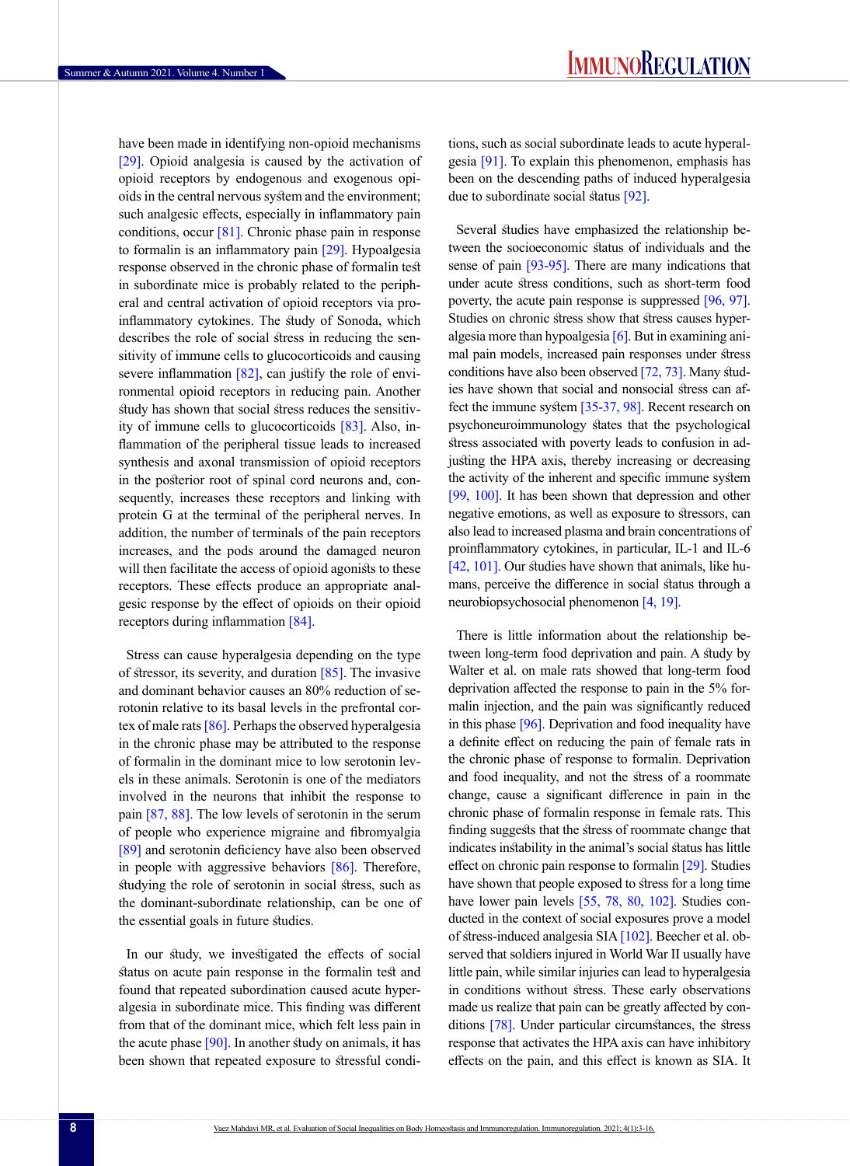have been made in identifying non-opioid mechanisms [\[29\]](#page-13-0). Opioid analgesia is caused by the activation of opioid receptors by endogenous and exogenous opioids in the central nervous system and the environment; such analgesic effects, especially in inflammatory pain conditions, occur  $[81]$ . Chronic phase pain in response to formalin is an inflammatory pain [\[29\].](#page-13-0) Hypoalgesia response observed in the chronic phase of formalin test in subordinate mice is probably related to the peripheral and central activation of opioid receptors via proinflammatory cytokines. The study of Sonoda, which describes the role of social stress in reducing the sensitivity of immune cells to glucocorticoids and causing severe inflammation  $[82]$ , can justify the role of environmental opioid receptors in reducing pain. Another study has shown that social stress reduces the sensitivity of immune cells to glucocorticoids [83]. Also, inflammation of the peripheral tissue leads to increased synthesis and axonal transmission of opioid receptors in the posterior root of spinal cord neurons and, consequently, increases these receptors and linking with protein G at the terminal of the peripheral nerves. In addition, the number of terminals of the pain receptors increases, and the pods around the damaged neuron will then facilitate the access of opioid agonists to these receptors. These effects produce an appropriate analgesic response by the effect of opioids on their opioid receptors during inflammation [84].

Stress can cause hyperalgesia depending on the type of stressor, its severity, and duration  $[85]$ . The invasive and dominant behavior causes an 80% reduction of serotonin relative to its basal levels in the prefrontal cortex of male rats [86]. Perhaps the observed hyperalgesia in the chronic phase may be attributed to the response of formalin in the dominant mice to low serotonin levels in these animals. Serotonin is one of the mediators involved in the neurons that inhibit the response to pain [87, 88]. The low levels of serotonin in the serum of people who experience migraine and fibromyalgia [89] and serotonin deficiency have also been observed in people with aggressive behaviors [86]. Therefore, studying the role of serotonin in social stress, such as the dominant-subordinate relationship, can be one of the essential goals in future studies.

In our study, we investigated the effects of social status on acute pain response in the formalin test and found that repeated subordination caused acute hyperalgesia in subordinate mice. This finding was different from that of the dominant mice, which felt less pain in the acute phase [90]. In another study on animals, it has been shown that repeated exposure to stressful conditions, such as social subordinate leads to acute hyperalgesia [91]. To explain this phenomenon, emphasis has been on the descending paths of induced hyperalgesia due to subordinate social status [92].

Several studies have emphasized the relationship between the socioeconomic status of individuals and the sense of pain [93-95]. There are many indications that under acute stress conditions, such as short-term food poverty, the acute pain response is suppressed [96, 97]. Studies on chronic stress show that stress causes hyperalgesia more than hypoalgesia [\[6\].](#page-9-0) But in examining animal pain models, increased pain responses under stress conditions have also been observed [\[72,](#page-12-0) [73\].](#page-12-1) Many studies have shown that social and nonsocial stress can affect the immune system [\[35-37,](#page-10-3) 98]. Recent research on psychoneuroimmunology states that the psychological stress associated with poverty leads to confusion in adjusting the HPA axis, thereby increasing or decreasing the activity of the inherent and specific immune system [99, 100]. It has been shown that depression and other negative emotions, as well as exposure to stressors, can also lead to increased plasma and brain concentrations of proinflammatory cytokines, in particular, IL-1 and IL-6 [\[42,](#page-11-1) 101]. Our studies have shown that animals, like humans, perceive the difference in social status through a neurobiopsychosocial phenomenon [\[4,](#page-9-1) [19\]](#page-10-4).

There is little information about the relationship between long-term food deprivation and pain. A study by Walter et al. on male rats showed that long-term food deprivation affected the response to pain in the 5% formalin injection, and the pain was significantly reduced in this phase [\[96\].](#page-13-1) Deprivation and food inequality have a definite effect on reducing the pain of female rats in the chronic phase of response to formalin. Deprivation and food inequality, and not the stress of a roommate change, cause a significant difference in pain in the chronic phase of formalin response in female rats. This finding suggests that the stress of roommate change that indicates instability in the animal's social status has little effect on chronic pain response to formalin [\[29\]](#page-10-5). Studies have shown that people exposed to stress for a long time have lower pain levels [\[55,](#page-11-2) [78,](#page-12-2) [80,](#page-12-3) 102]. Studies conducted in the context of social exposures prove a model of stress-induced analgesia SIA [102]. Beecher et al. observed that soldiers injured in World War II usually have little pain, while similar injuries can lead to hyperalgesia in conditions without stress. These early observations made us realize that pain can be greatly affected by conditions [\[78\]](#page-12-2). Under particular circumstances, the stress response that activates the HPA axis can have inhibitory effects on the pain, and this effect is known as SIA. It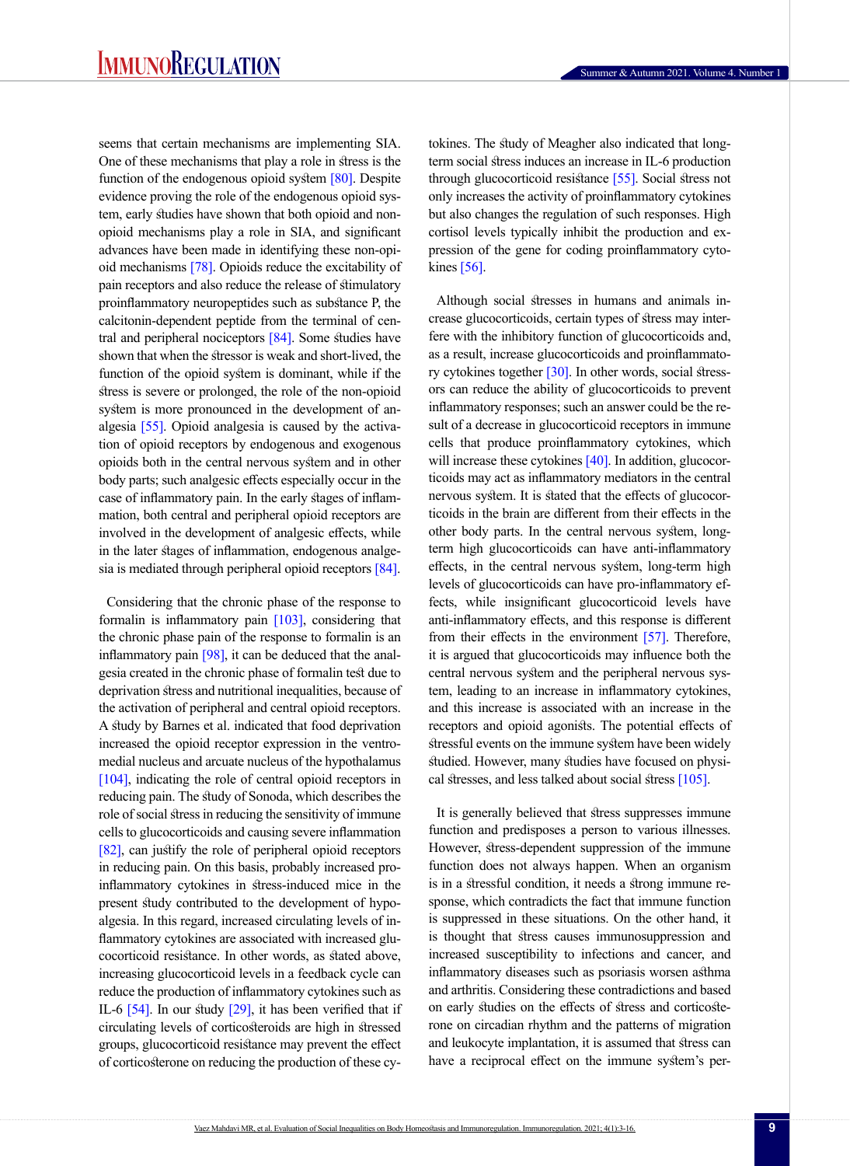seems that certain mechanisms are implementing SIA. One of these mechanisms that play a role in stress is the function of the endogenous opioid system [\[80\].](#page-12-3) Despite evidence proving the role of the endogenous opioid system, early studies have shown that both opioid and nonopioid mechanisms play a role in SIA, and significant advances have been made in identifying these non-opioid mechanisms [\[78\].](#page-12-2) Opioids reduce the excitability of pain receptors and also reduce the release of stimulatory proinflammatory neuropeptides such as substance P, the calcitonin-dependent peptide from the terminal of central and peripheral nociceptors [\[84\]](#page-12-4). Some studies have shown that when the stressor is weak and short-lived, the function of the opioid system is dominant, while if the stress is severe or prolonged, the role of the non-opioid system is more pronounced in the development of analgesia [\[55\]](#page-11-2). Opioid analgesia is caused by the activation of opioid receptors by endogenous and exogenous opioids both in the central nervous system and in other body parts; such analgesic effects especially occur in the case of inflammatory pain. In the early stages of inflammation, both central and peripheral opioid receptors are involved in the development of analgesic effects, while in the later stages of inflammation, endogenous analge-sia is mediated through peripheral opioid receptors [\[84\].](#page-12-4)

Considering that the chronic phase of the response to formalin is inflammatory pain [\[103\]](#page-13-2), considering that the chronic phase pain of the response to formalin is an inflammatory pain  $[98]$ , it can be deduced that the analgesia created in the chronic phase of formalin test due to deprivation stress and nutritional inequalities, because of the activation of peripheral and central opioid receptors. A study by Barnes et al. indicated that food deprivation increased the opioid receptor expression in the ventromedial nucleus and arcuate nucleus of the hypothalamus [104], indicating the role of central opioid receptors in reducing pain. The study of Sonoda, which describes the role of social stress in reducing the sensitivity of immune cells to glucocorticoids and causing severe inflammation [82], can justify the role of peripheral opioid receptors in reducing pain. On this basis, probably increased proinflammatory cytokines in stress-induced mice in the present study contributed to the development of hypoalgesia. In this regard, increased circulating levels of inflammatory cytokines are associated with increased glucocorticoid resistance. In other words, as stated above, increasing glucocorticoid levels in a feedback cycle can reduce the production of inflammatory cytokines such as IL-6 [54]. In our study [\[29\]](#page-10-5), it has been verified that if circulating levels of corticosteroids are high in stressed groups, glucocorticoid resistance may prevent the effect of corticosterone on reducing the production of these cytokines. The study of Meagher also indicated that longterm social stress induces an increase in IL-6 production through glucocorticoid resistance [\[55\].](#page-11-2) Social stress not only increases the activity of proinflammatory cytokines but also changes the regulation of such responses. High cortisol levels typically inhibit the production and expression of the gene for coding proinflammatory cyto-kines [\[56\]](#page-11-3).

Although social stresses in humans and animals increase glucocorticoids, certain types of stress may interfere with the inhibitory function of glucocorticoids and, as a result, increase glucocorticoids and proinflammatory cytokines together [\[30\]](#page-10-2). In other words, social stressors can reduce the ability of glucocorticoids to prevent inflammatory responses; such an answer could be the result of a decrease in glucocorticoid receptors in immune cells that produce proinflammatory cytokines, which will increase these cytokines [\[40\]](#page-11-4). In addition, glucocorticoids may act as inflammatory mediators in the central nervous system. It is stated that the effects of glucocorticoids in the brain are different from their effects in the other body parts. In the central nervous system, longterm high glucocorticoids can have anti-inflammatory effects, in the central nervous system, long-term high levels of glucocorticoids can have pro-inflammatory effects, while insignificant glucocorticoid levels have anti-inflammatory effects, and this response is different from their effects in the environment [57]. Therefore, it is argued that glucocorticoids may influence both the central nervous system and the peripheral nervous system, leading to an increase in inflammatory cytokines, and this increase is associated with an increase in the receptors and opioid agonists. The potential effects of stressful events on the immune system have been widely studied. However, many studies have focused on physical stresses, and less talked about social stress [\[105\]](#page-13-4).

It is generally believed that stress suppresses immune function and predisposes a person to various illnesses. However, stress-dependent suppression of the immune function does not always happen. When an organism is in a stressful condition, it needs a strong immune response, which contradicts the fact that immune function is suppressed in these situations. On the other hand, it is thought that stress causes immunosuppression and increased susceptibility to infections and cancer, and inflammatory diseases such as psoriasis worsen asthma and arthritis. Considering these contradictions and based on early studies on the effects of stress and corticosterone on circadian rhythm and the patterns of migration and leukocyte implantation, it is assumed that stress can have a reciprocal effect on the immune system's per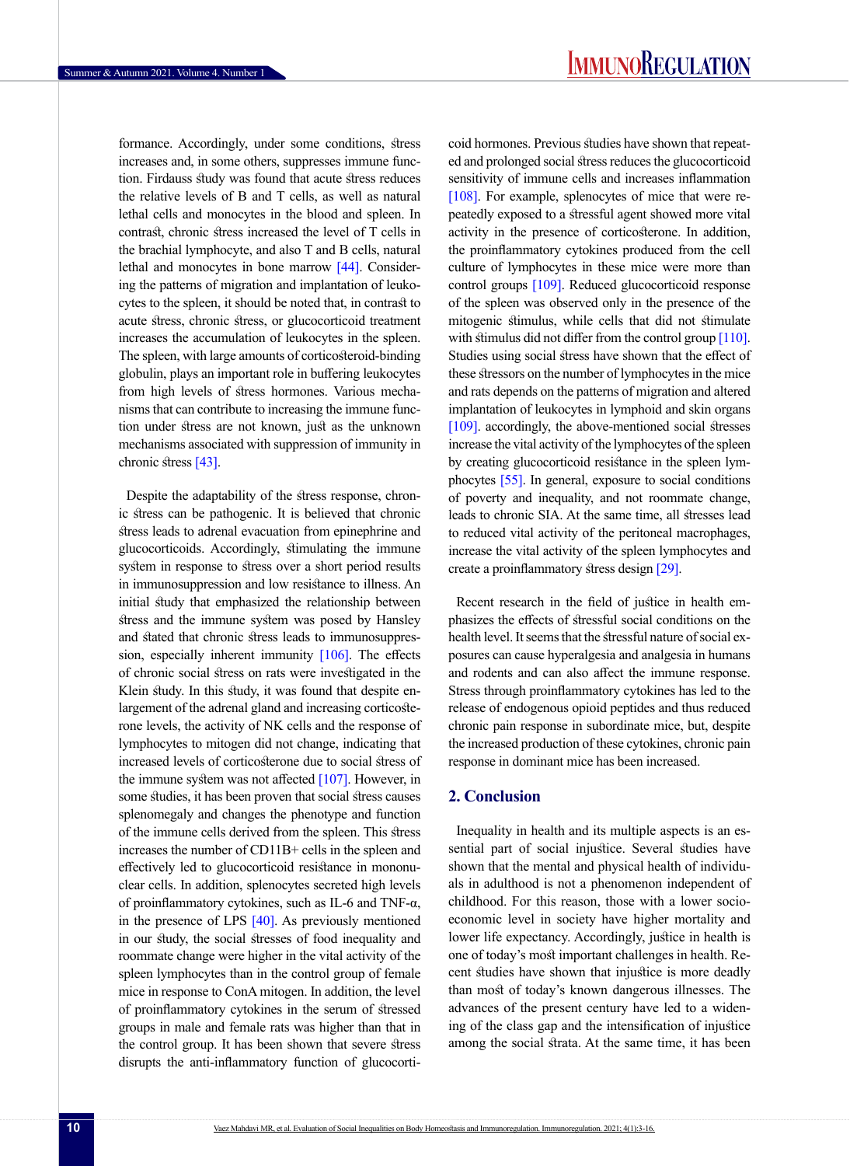formance. Accordingly, under some conditions, stress increases and, in some others, suppresses immune function. Firdauss study was found that acute stress reduces the relative levels of B and T cells, as well as natural lethal cells and monocytes in the blood and spleen. In contrast, chronic stress increased the level of T cells in the brachial lymphocyte, and also T and B cells, natural lethal and monocytes in bone marrow [\[44\].](#page-11-5) Considering the patterns of migration and implantation of leukocytes to the spleen, it should be noted that, in contrast to acute stress, chronic stress, or glucocorticoid treatment increases the accumulation of leukocytes in the spleen. The spleen, with large amounts of corticosteroid-binding globulin, plays an important role in buffering leukocytes from high levels of stress hormones. Various mechanisms that can contribute to increasing the immune function under stress are not known, just as the unknown mechanisms associated with suppression of immunity in chronic stress [\[43\]](#page-11-6).

Despite the adaptability of the stress response, chronic stress can be pathogenic. It is believed that chronic stress leads to adrenal evacuation from epinephrine and glucocorticoids. Accordingly, stimulating the immune system in response to stress over a short period results in immunosuppression and low resistance to illness. An initial study that emphasized the relationship between stress and the immune system was posed by Hansley and stated that chronic stress leads to immunosuppression, especially inherent immunity [\[106\]](#page-13-5). The effects of chronic social stress on rats were investigated in the Klein study. In this study, it was found that despite enlargement of the adrenal gland and increasing corticosterone levels, the activity of NK cells and the response of lymphocytes to mitogen did not change, indicating that increased levels of corticosterone due to social stress of the immune system was not affected  $[107]$ . However, in some studies, it has been proven that social stress causes splenomegaly and changes the phenotype and function of the immune cells derived from the spleen. This stress increases the number of CD11B+ cells in the spleen and effectively led to glucocorticoid resistance in mononuclear cells. In addition, splenocytes secreted high levels of proinflammatory cytokines, such as IL-6 and TNF-α, in the presence of LPS  $[40]$ . As previously mentioned in our study, the social stresses of food inequality and roommate change were higher in the vital activity of the spleen lymphocytes than in the control group of female mice in response to ConA mitogen. In addition, the level of proinflammatory cytokines in the serum of stressed groups in male and female rats was higher than that in the control group. It has been shown that severe stress disrupts the anti-inflammatory function of glucocorticoid hormones. Previous studies have shown that repeated and prolonged social stress reduces the glucocorticoid sensitivity of immune cells and increases inflammation [\[108\].](#page-13-7) For example, splenocytes of mice that were repeatedly exposed to a stressful agent showed more vital activity in the presence of corticosterone. In addition, the proinflammatory cytokines produced from the cell culture of lymphocytes in these mice were more than control groups [109]. Reduced glucocorticoid response of the spleen was observed only in the presence of the mitogenic stimulus, while cells that did not stimulate with stimulus did not differ from the control group [\[110\]](#page-13-8). Studies using social stress have shown that the effect of these stressors on the number of lymphocytes in the mice and rats depends on the patterns of migration and altered implantation of leukocytes in lymphoid and skin organs [109]. accordingly, the above-mentioned social stresses increase the vital activity of the lymphocytes of the spleen by creating glucocorticoid resistance in the spleen lymphocytes [\[55\].](#page-11-2) In general, exposure to social conditions of poverty and inequality, and not roommate change, leads to chronic SIA. At the same time, all stresses lead to reduced vital activity of the peritoneal macrophages, increase the vital activity of the spleen lymphocytes and create a proinflammatory stress design [\[29\].](#page-10-5)

Recent research in the field of justice in health emphasizes the effects of stressful social conditions on the health level. It seems that the stressful nature of social exposures can cause hyperalgesia and analgesia in humans and rodents and can also affect the immune response. Stress through proinflammatory cytokines has led to the release of endogenous opioid peptides and thus reduced chronic pain response in subordinate mice, but, despite the increased production of these cytokines, chronic pain response in dominant mice has been increased.

## **2. Conclusion**

Inequality in health and its multiple aspects is an essential part of social injustice. Several studies have shown that the mental and physical health of individuals in adulthood is not a phenomenon independent of childhood. For this reason, those with a lower socioeconomic level in society have higher mortality and lower life expectancy. Accordingly, justice in health is one of today's most important challenges in health. Recent studies have shown that injustice is more deadly than most of today's known dangerous illnesses. The advances of the present century have led to a widening of the class gap and the intensification of injustice among the social strata. At the same time, it has been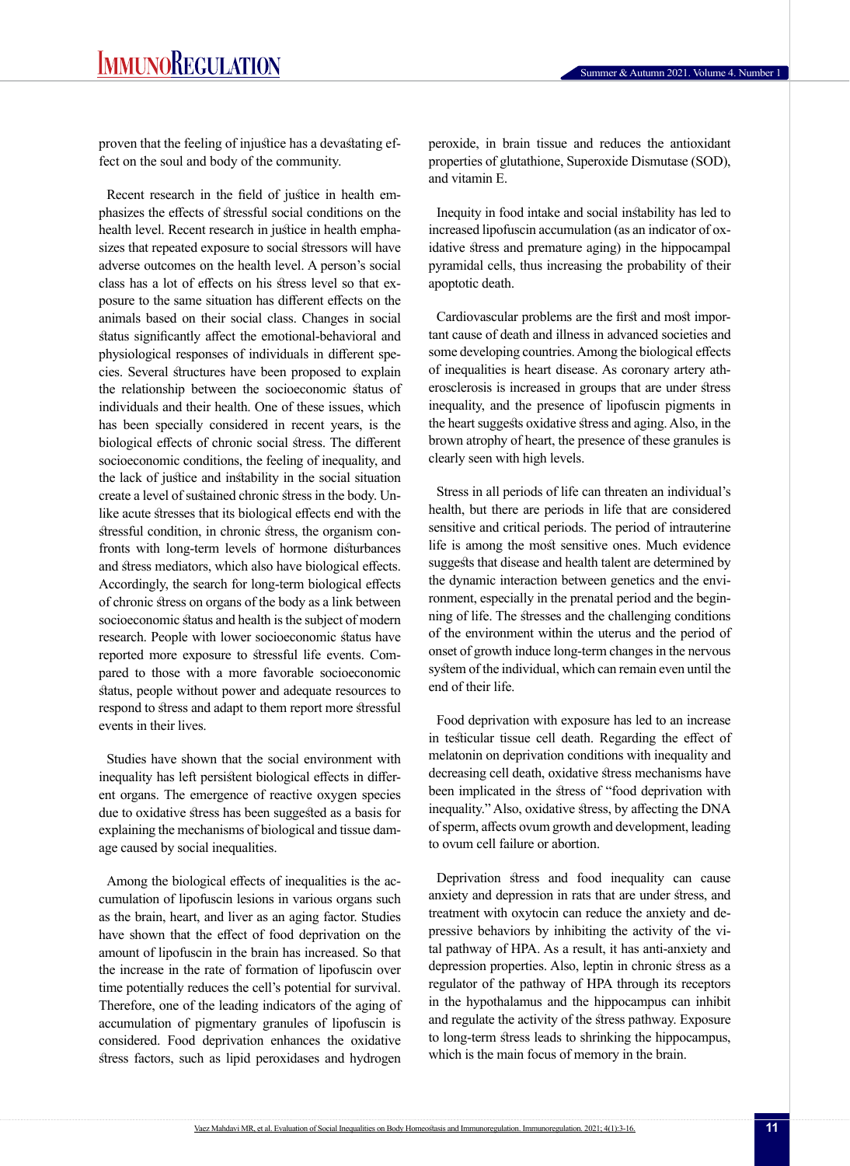proven that the feeling of injustice has a devastating effect on the soul and body of the community.

Recent research in the field of justice in health emphasizes the effects of stressful social conditions on the health level. Recent research in justice in health emphasizes that repeated exposure to social stressors will have adverse outcomes on the health level. A person's social class has a lot of effects on his stress level so that exposure to the same situation has different effects on the animals based on their social class. Changes in social status significantly affect the emotional-behavioral and physiological responses of individuals in different species. Several structures have been proposed to explain the relationship between the socioeconomic status of individuals and their health. One of these issues, which has been specially considered in recent years, is the biological effects of chronic social stress. The different socioeconomic conditions, the feeling of inequality, and the lack of justice and instability in the social situation create a level of sustained chronic stress in the body. Unlike acute stresses that its biological effects end with the stressful condition, in chronic stress, the organism confronts with long-term levels of hormone disturbances and stress mediators, which also have biological effects. Accordingly, the search for long-term biological effects of chronic stress on organs of the body as a link between socioeconomic status and health is the subject of modern research. People with lower socioeconomic status have reported more exposure to stressful life events. Compared to those with a more favorable socioeconomic status, people without power and adequate resources to respond to stress and adapt to them report more stressful events in their lives.

Studies have shown that the social environment with inequality has left persistent biological effects in different organs. The emergence of reactive oxygen species due to oxidative stress has been suggested as a basis for explaining the mechanisms of biological and tissue damage caused by social inequalities.

Among the biological effects of inequalities is the accumulation of lipofuscin lesions in various organs such as the brain, heart, and liver as an aging factor. Studies have shown that the effect of food deprivation on the amount of lipofuscin in the brain has increased. So that the increase in the rate of formation of lipofuscin over time potentially reduces the cell's potential for survival. Therefore, one of the leading indicators of the aging of accumulation of pigmentary granules of lipofuscin is considered. Food deprivation enhances the oxidative stress factors, such as lipid peroxidases and hydrogen

peroxide, in brain tissue and reduces the antioxidant properties of glutathione, Superoxide Dismutase (SOD), and vitamin E.

Inequity in food intake and social instability has led to increased lipofuscin accumulation (as an indicator of oxidative stress and premature aging) in the hippocampal pyramidal cells, thus increasing the probability of their apoptotic death.

Cardiovascular problems are the first and most important cause of death and illness in advanced societies and some developing countries. Among the biological effects of inequalities is heart disease. As coronary artery atherosclerosis is increased in groups that are under stress inequality, and the presence of lipofuscin pigments in the heart suggests oxidative stress and aging. Also, in the brown atrophy of heart, the presence of these granules is clearly seen with high levels.

Stress in all periods of life can threaten an individual's health, but there are periods in life that are considered sensitive and critical periods. The period of intrauterine life is among the most sensitive ones. Much evidence suggests that disease and health talent are determined by the dynamic interaction between genetics and the environment, especially in the prenatal period and the beginning of life. The stresses and the challenging conditions of the environment within the uterus and the period of onset of growth induce long-term changes in the nervous system of the individual, which can remain even until the end of their life.

Food deprivation with exposure has led to an increase in testicular tissue cell death. Regarding the effect of melatonin on deprivation conditions with inequality and decreasing cell death, oxidative stress mechanisms have been implicated in the stress of "food deprivation with inequality." Also, oxidative stress, by affecting the DNA of sperm, affects ovum growth and development, leading to ovum cell failure or abortion.

Deprivation stress and food inequality can cause anxiety and depression in rats that are under stress, and treatment with oxytocin can reduce the anxiety and depressive behaviors by inhibiting the activity of the vital pathway of HPA. As a result, it has anti-anxiety and depression properties. Also, leptin in chronic stress as a regulator of the pathway of HPA through its receptors in the hypothalamus and the hippocampus can inhibit and regulate the activity of the stress pathway. Exposure to long-term stress leads to shrinking the hippocampus, which is the main focus of memory in the brain.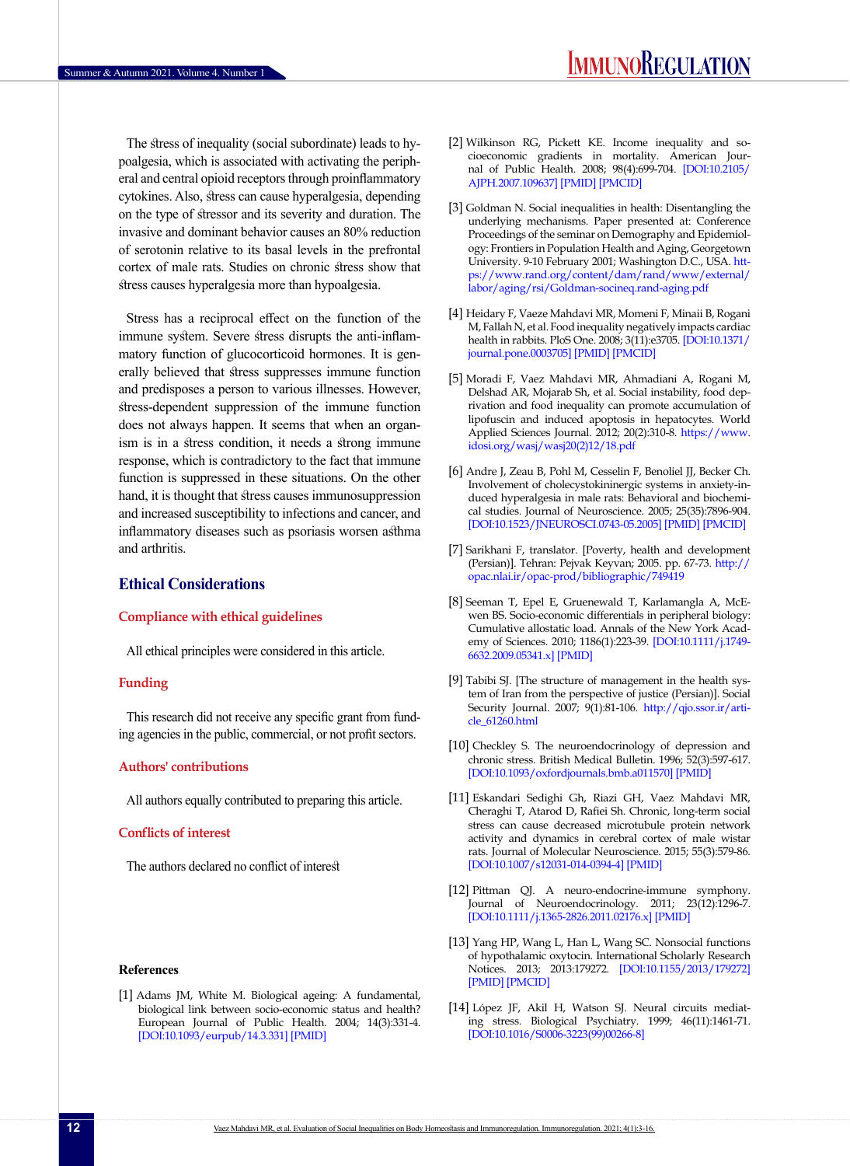The stress of inequality (social subordinate) leads to hypoalgesia, which is associated with activating the peripheral and central opioid receptors through proinflammatory cytokines. Also, stress can cause hyperalgesia, depending on the type of stressor and its severity and duration. The invasive and dominant behavior causes an 80% reduction of serotonin relative to its basal levels in the prefrontal cortex of male rats. Studies on chronic stress show that stress causes hyperalgesia more than hypoalgesia.

Stress has a reciprocal effect on the function of the immune system. Severe stress disrupts the anti-inflammatory function of glucocorticoid hormones. It is generally believed that stress suppresses immune function and predisposes a person to various illnesses. However, stress-dependent suppression of the immune function does not always happen. It seems that when an organism is in a stress condition, it needs a strong immune response, which is contradictory to the fact that immune function is suppressed in these situations. On the other hand, it is thought that stress causes immunosuppression and increased susceptibility to infections and cancer, and inflammatory diseases such as psoriasis worsen asthma and arthritis.

# **Ethical Considerations**

#### **Compliance with ethical guidelines**

All ethical principles were considered in this article.

#### **Funding**

This research did not receive any specific grant from funding agencies in the public, commercial, or not profit sectors.

### **Authors' contributions**

All authors equally contributed to preparing this article.

#### **Conflicts of interest**

The authors declared no conflict of interest

#### **References**

[1] Adams JM, White M. Biological ageing: A fundamental, biological link between socio-economic status and health? European Journal of Public Health. 2004; 14(3):331-4. [[DOI:10.1093/eurpub/14.3.331](https://doi.org/10.1093/eurpub/14.3.331)] [\[PMID\]](https://www.ncbi.nlm.nih.gov/pubmed/15369043)

- [2] Wilkinson RG, Pickett KE. Income inequality and socioeconomic gradients in mortality. American Journal of Public Health. 2008; 98(4):699-704. [\[DOI:10.2105/](https://doi.org/10.2105/AJPH.2007.109637) [AJPH.2007.109637\]](https://doi.org/10.2105/AJPH.2007.109637) [[PMID](https://www.ncbi.nlm.nih.gov/pubmed/17901426)] [\[PMCID](http://www.ncbi.nlm.nih.gov/pmc/articles/PMC2376999)]
- [3] Goldman N. Social inequalities in health: Disentangling the underlying mechanisms. Paper presented at: Conference Proceedings of the seminar on Demography and Epidemiology: Frontiers in Population Health and Aging, Georgetown University. 9-10 February 2001; Washington D.C., USA. [htt](https://www.rand.org/content/dam/rand/www/external/labor/aging/rsi/Goldman-socineq.rand-aging.pdf)[ps://www.rand.org/content/dam/rand/www/external/](https://www.rand.org/content/dam/rand/www/external/labor/aging/rsi/Goldman-socineq.rand-aging.pdf) [labor/aging/rsi/Goldman-socineq.rand-aging.pdf](https://www.rand.org/content/dam/rand/www/external/labor/aging/rsi/Goldman-socineq.rand-aging.pdf)
- <span id="page-9-1"></span>[4] Heidary F, Vaeze Mahdavi MR, Momeni F, Minaii B, Rogani M, Fallah N, et al. Food inequality negatively impacts cardiac health in rabbits. PloS One. 2008; 3(11):e3705. [\[DOI:10.1371/](https://doi.org/10.1371/journal.pone.0003705) [journal.pone.0003705\]](https://doi.org/10.1371/journal.pone.0003705) [\[PMID](https://www.ncbi.nlm.nih.gov/pubmed/19002245)] [\[PMCID](http://www.ncbi.nlm.nih.gov/pmc/articles/PMC2577296)]
- [5] Moradi F, Vaez Mahdavi MR, Ahmadiani A, Rogani M, Delshad AR, Mojarab Sh, et al. Social instability, food deprivation and food inequality can promote accumulation of lipofuscin and induced apoptosis in hepatocytes. World Applied Sciences Journal. 2012; 20(2):310-8. [https://www.](https://www.idosi.org/wasj/wasj20(2)12/18.pdf) [idosi.org/wasj/wasj20\(2\)12/18.pdf](https://www.idosi.org/wasj/wasj20(2)12/18.pdf)
- <span id="page-9-0"></span>[6] Andre J, Zeau B, Pohl M, Cesselin F, Benoliel JJ, Becker Ch. Involvement of cholecystokininergic systems in anxiety-induced hyperalgesia in male rats: Behavioral and biochemical studies. Journal of Neuroscience. 2005; 25(35):7896-904. [\[DOI:10.1523/JNEUROSCI.0743-05.2005](https://doi.org/10.1523/JNEUROSCI.0743-05.2005)] [\[PMID\]](https://www.ncbi.nlm.nih.gov/pubmed/16135746) [[PMCID\]](http://www.ncbi.nlm.nih.gov/pmc/articles/PMC6725462)
- [7] Sarikhani F, translator. [Poverty, health and development (Persian)]. Tehran: Pejvak Keyvan; 2005. pp. 67-73. [http://](http://opac.nlai.ir/opac-prod/bibliographic/749419) [opac.nlai.ir/opac-prod/bibliographic/749419](http://opac.nlai.ir/opac-prod/bibliographic/749419)
- [8] Seeman T, Epel E, Gruenewald T, Karlamangla A, McEwen BS. Socio-economic differentials in peripheral biology: Cumulative allostatic load. Annals of the New York Academy of Sciences. 2010; 1186(1):223-39. [\[DOI:10.1111/j.1749-](https://doi.org/10.1111/j.1749-6632.2009.05341.x) [6632.2009.05341.x](https://doi.org/10.1111/j.1749-6632.2009.05341.x)] [\[PMID\]](https://www.ncbi.nlm.nih.gov/pubmed/20201875)
- [9] Tabibi SJ. [The structure of management in the health system of Iran from the perspective of justice (Persian)]. Social Security Journal. 2007; 9(1):81-106. [http://qjo.ssor.ir/arti](http://qjo.ssor.ir/article_61260.html)[cle\\_61260.html](http://qjo.ssor.ir/article_61260.html)
- [10] Checkley S. The neuroendocrinology of depression and chronic stress. British Medical Bulletin. 1996; 52(3):597-617. [\[DOI:10.1093/oxfordjournals.bmb.a011570](https://doi.org/10.1093/oxfordjournals.bmb.a011570)] [\[PMID\]](https://www.ncbi.nlm.nih.gov/pubmed/8949260)
- [11] Eskandari Sedighi Gh, Riazi GH, Vaez Mahdavi MR, Cheraghi T, Atarod D, Rafiei Sh. Chronic, long-term social stress can cause decreased microtubule protein network activity and dynamics in cerebral cortex of male wistar rats. Journal of Molecular Neuroscience. 2015; 55(3):579-86. [\[DOI:10.1007/s12031-014-0394-4](https://doi.org/10.1007/s12031-014-0394-4)] [\[PMID\]](https://www.ncbi.nlm.nih.gov/pubmed/25106479)
- [12] Pittman QJ. A neuro‐endocrine‐immune symphony. Journal of Neuroendocrinology. 2011; 23(12):1296-7. [\[DOI:10.1111/j.1365-2826.2011.02176.x](https://doi.org/10.1111/j.1365-2826.2011.02176.x)] [\[PMID\]](https://www.ncbi.nlm.nih.gov/pubmed/22092721)
- [13] Yang HP, Wang L, Han L, Wang SC. Nonsocial functions of hypothalamic oxytocin. International Scholarly Research Notices. 2013; 2013:179272. [[DOI:10.1155/2013/179272\]](https://doi.org/10.1155/2013/179272) [\[PMID](https://www.ncbi.nlm.nih.gov/pubmed/24967304)] [\[PMCID](http://www.ncbi.nlm.nih.gov/pmc/articles/PMC4045544)]
- [14] López JF, Akil H, Watson SJ. Neural circuits mediating stress. Biological Psychiatry. 1999; 46(11):1461-71. [\[DOI:10.1016/S0006-3223\(99\)00266-8](https://doi.org/10.1016/S0006-3223(99)00266-8)]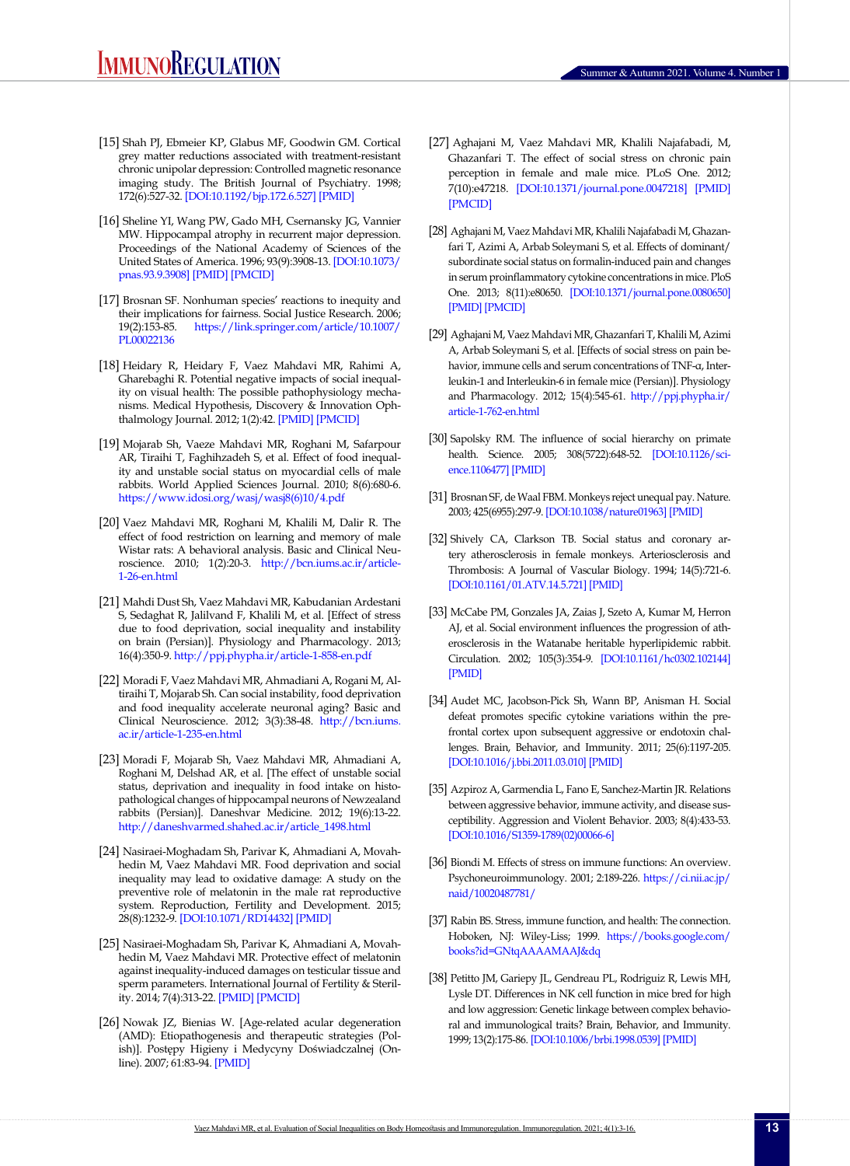- <span id="page-10-0"></span>[15] Shah PJ, Ebmeier KP, Glabus MF, Goodwin GM. Cortical grey matter reductions associated with treatment-resistant chronic unipolar depression: Controlled magnetic resonance imaging study. The British Journal of Psychiatry. 1998; 172(6):527-32. [\[DOI:10.1192/bjp.172.6.527](https://doi.org/10.1192/bjp.172.6.527)] [\[PMID\]](https://www.ncbi.nlm.nih.gov/pubmed/9828995)
- [16] Sheline YI, Wang PW, Gado MH, Csernansky JG, Vannier MW. Hippocampal atrophy in recurrent major depression. Proceedings of the National Academy of Sciences of the United States of America. 1996; 93(9):3908-13. [\[DOI:10.1073/](https://doi.org/10.1073/pnas.93.9.3908) [pnas.93.9.3908\]](https://doi.org/10.1073/pnas.93.9.3908) [[PMID](https://www.ncbi.nlm.nih.gov/pubmed/8632988)] [\[PMCID](http://www.ncbi.nlm.nih.gov/pmc/articles/PMC39458)]
- [17] Brosnan SF. Nonhuman species' reactions to inequity and their implications for fairness. Social Justice Research. 2006; 19(2):153-85. [https://link.springer.com/article/10.1007/](https://link.springer.com/article/10.1007/PL00022136) [PL00022136](https://link.springer.com/article/10.1007/PL00022136)
- [18] Heidary R, Heidary F, Vaez Mahdavi MR, Rahimi A, Gharebaghi R. Potential negative impacts of social inequality on visual health: The possible pathophysiology mechanisms. Medical Hypothesis, Discovery & Innovation Ophthalmology Journal. 2012; 1(2):42. [\[PMID\]](https://pubmed.ncbi.nlm.nih.gov/24600619/) [\[PMCID\]](https://www.ncbi.nlm.nih.gov/pmc/articles/PMC3939748/)
- <span id="page-10-4"></span>[19] Mojarab Sh, Vaeze Mahdavi MR, Roghani M, Safarpour AR, Tiraihi T, Faghihzadeh S, et al. Effect of food inequality and unstable social status on myocardial cells of male rabbits. World Applied Sciences Journal. 2010; 8(6):680-6. [https://www.idosi.org/wasj/wasj8\(6\)10/4.pdf](https://www.idosi.org/wasj/wasj8(6)10/4.pdf)
- [20] Vaez Mahdavi MR, Roghani M, Khalili M, Dalir R. The effect of food restriction on learning and memory of male Wistar rats: A behavioral analysis. Basic and Clinical Neuroscience. 2010; 1(2):20-3. [http://bcn.iums.ac.ir/article-](http://bcn.iums.ac.ir/article-1-26-en.html)[1-26-en.html](http://bcn.iums.ac.ir/article-1-26-en.html)
- [21] Mahdi Dust Sh, Vaez Mahdavi MR, Kabudanian Ardestani S, Sedaghat R, Jalilvand F, Khalili M, et al. [Effect of stress due to food deprivation, social inequality and instability on brain (Persian)]. Physiology and Pharmacology. 2013; 16(4):350-9.<http://ppj.phypha.ir/article-1-858-en.pdf>
- [22] Moradi F, Vaez Mahdavi MR, Ahmadiani A, Rogani M, Altiraihi T, Mojarab Sh. Can social instability, food deprivation and food inequality accelerate neuronal aging? Basic and Clinical Neuroscience. 2012; 3(3):38-48. [http://bcn.iums.](http://bcn.iums.ac.ir/article-1-235-en.html) [ac.ir/article-1-235-en.html](http://bcn.iums.ac.ir/article-1-235-en.html)
- [23] Moradi F, Mojarab Sh, Vaez Mahdavi MR, Ahmadiani A, Roghani M, Delshad AR, et al. [The effect of unstable social status, deprivation and inequality in food intake on histopathological changes of hippocampal neurons of Newzealand rabbits (Persian)]. Daneshvar Medicine. 2012; 19(6):13-22. [http://daneshvarmed.shahed.ac.ir/article\\_1498.html](http://daneshvarmed.shahed.ac.ir/article_1498.html)
- [24] Nasiraei-Moghadam Sh, Parivar K, Ahmadiani A, Movahhedin M, Vaez Mahdavi MR. Food deprivation and social inequality may lead to oxidative damage: A study on the preventive role of melatonin in the male rat reproductive system. Reproduction, Fertility and Development. 2015; 28(8):1232-9. [\[DOI:10.1071/RD14432\]](https://doi.org/10.1071/RD14432) [[PMID](https://www.ncbi.nlm.nih.gov/pubmed/25682321)]
- [25] Nasiraei-Moghadam Sh, Parivar K, Ahmadiani A, Movahhedin M, Vaez Mahdavi MR. Protective effect of melatonin against inequality-induced damages on testicular tissue and sperm parameters. International Journal of Fertility & Sterility. 2014; 7(4):313-22. [\[PMID\]](https://pubmed.ncbi.nlm.nih.gov/24520501/) [\[PMCID\]](https://www.ncbi.nlm.nih.gov/pmc/articles/PMC3901188/)
- [26] Nowak JZ, Bienias W. [Age-related acular degeneration (AMD): Etiopathogenesis and therapeutic strategies (Polish)]. Postępy Higieny i Medycyny Doświadczalnej (Online). 2007; 61:83-94. [\[PMID\]](https://pubmed.ncbi.nlm.nih.gov/17369776/)
- <span id="page-10-1"></span>[27] Aghajani M, Vaez Mahdavi MR, Khalili Najafabadi, M, Ghazanfari T. The effect of social stress on chronic pain perception in female and male mice. PLoS One. 2012; 7(10):e47218. [[DOI:10.1371/journal.pone.0047218\]](https://doi.org/10.1371/journal.pone.0047218) [\[PMID\]](https://www.ncbi.nlm.nih.gov/pubmed/23082150) [\[PMCID](http://www.ncbi.nlm.nih.gov/pmc/articles/PMC3474835)]
- [28] Aghajani M, Vaez Mahdavi MR, Khalili Najafabadi M, Ghazanfari T, Azimi A, Arbab Soleymani S, et al. Effects of dominant/ subordinate social status on formalin-induced pain and changes in serum proinflammatory cytokine concentrations in mice. PloS One. 2013; 8(11):e80650. [\[DOI:10.1371/journal.pone.0080650\]](https://doi.org/10.1371/journal.pone.0080650) [\[PMID\]](https://www.ncbi.nlm.nih.gov/pubmed/24278302) [\[PMCID\]](http://www.ncbi.nlm.nih.gov/pmc/articles/PMC3835427)
- <span id="page-10-5"></span>[29] Aghajani M, Vaez Mahdavi MR, Ghazanfari T, Khalili M, Azimi A, Arbab Soleymani S, et al. [Effects of social stress on pain behavior, immune cells and serum concentrations of TNF-α, Interleukin-1 and Interleukin-6 in female mice (Persian)]. Physiology and Pharmacology. 2012; 15(4):545-61. [http://ppj.phypha.ir/](http://ppj.phypha.ir/article-1-762-en.html) [article-1-762-en.html](http://ppj.phypha.ir/article-1-762-en.html)
- <span id="page-10-2"></span>[30] Sapolsky RM. The influence of social hierarchy on primate health. Science. 2005; 308(5722):648-52. [\[DOI:10.1126/sci](https://doi.org/10.1126/science.1106477)[ence.1106477](https://doi.org/10.1126/science.1106477)] [\[PMID\]](https://www.ncbi.nlm.nih.gov/pubmed/15860617)
- [31] Brosnan SF, de Waal FBM. Monkeys reject unequal pay. Nature. 2003; 425(6955):297-9. [[DOI:10.1038/nature01963\]](https://doi.org/10.1038/nature01963) [\[PMID\]](https://www.ncbi.nlm.nih.gov/pubmed/13679918)
- [32] Shively CA, Clarkson TB. Social status and coronary artery atherosclerosis in female monkeys. Arteriosclerosis and Thrombosis: A Journal of Vascular Biology. 1994; 14(5):721-6. [\[DOI:10.1161/01.ATV.14.5.721\]](https://doi.org/10.1161/01.ATV.14.5.721) [\[PMID](https://www.ncbi.nlm.nih.gov/pubmed/8172850)]
- [33] McCabe PM, Gonzales JA, Zaias J, Szeto A, Kumar M, Herron AJ, et al. Social environment influences the progression of atherosclerosis in the Watanabe heritable hyperlipidemic rabbit. Circulation. 2002; 105(3):354-9. [\[DOI:10.1161/hc0302.102144\]](https://doi.org/10.1161/hc0302.102144) [\[PMID\]](https://www.ncbi.nlm.nih.gov/pubmed/11804992)
- [34] Audet MC, Jacobson-Pick Sh, Wann BP, Anisman H. Social defeat promotes specific cytokine variations within the prefrontal cortex upon subsequent aggressive or endotoxin challenges. Brain, Behavior, and Immunity. 2011; 25(6):1197-205. [\[DOI:10.1016/j.bbi.2011.03.010](https://doi.org/10.1016/j.bbi.2011.03.010)] [[PMID](https://www.ncbi.nlm.nih.gov/pubmed/21435391)]
- <span id="page-10-3"></span>[35] Azpiroz A, Garmendia L, Fano E, Sanchez-Martin JR. Relations between aggressive behavior, immune activity, and disease susceptibility. Aggression and Violent Behavior. 2003; 8(4):433-53. [\[DOI:10.1016/S1359-1789\(02\)00066-6](https://doi.org/10.1016/S1359-1789(02)00066-6)]
- [36] Biondi M. Effects of stress on immune functions: An overview. Psychoneuroimmunology. 2001; 2:189-226. [https://ci.nii.ac.jp/](https://ci.nii.ac.jp/naid/10020487781/) [naid/10020487781/](https://ci.nii.ac.jp/naid/10020487781/)
- [37] Rabin BS. Stress, immune function, and health: The connection. Hoboken, NJ: Wiley-Liss; 1999. [https://books.google.com/](https://books.google.com/books?id=GNtqAAAAMAAJ&dq) [books?id=GNtqAAAAMAAJ&dq](https://books.google.com/books?id=GNtqAAAAMAAJ&dq)
- [38] Petitto JM, Gariepy JL, Gendreau PL, Rodriguiz R, Lewis MH, Lysle DT. Differences in NK cell function in mice bred for high and low aggression: Genetic linkage between complex behavioral and immunological traits? Brain, Behavior, and Immunity. 1999; 13(2):175-86. [\[DOI:10.1006/brbi.1998.0539](https://doi.org/10.1006/brbi.1998.0539)] [\[PMID](https://www.ncbi.nlm.nih.gov/pubmed/10373280)]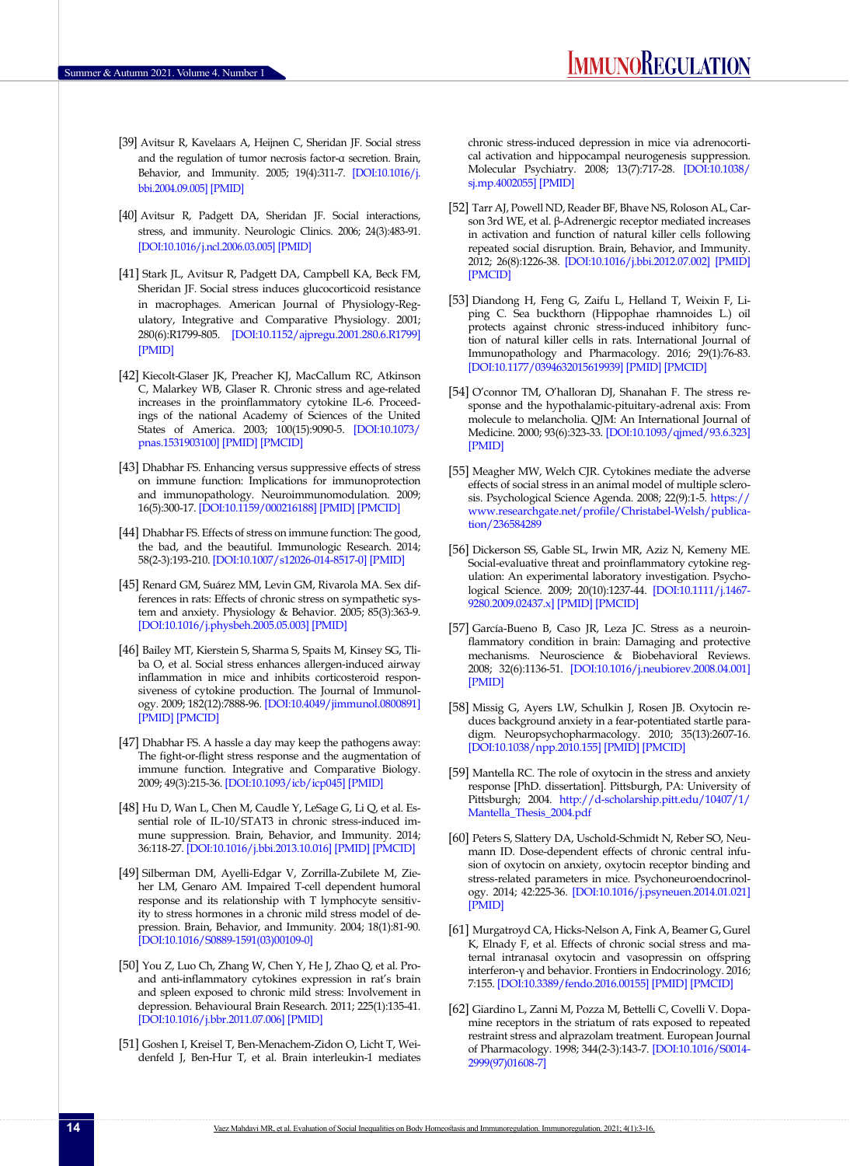- <span id="page-11-4"></span>[39] Avitsur R, Kavelaars A, Heijnen C, Sheridan JF. Social stress and the regulation of tumor necrosis factor-α secretion. Brain, Behavior, and Immunity. 2005; 19(4):311-7. [\[DOI:10.1016/j.](https://doi.org/10.1016/j.bbi.2004.09.005) [bbi.2004.09.005\]](https://doi.org/10.1016/j.bbi.2004.09.005) [\[PMID\]](https://www.ncbi.nlm.nih.gov/pubmed/15944070)
- <span id="page-11-0"></span>[40] Avitsur R, Padgett DA, Sheridan JF. Social interactions, stress, and immunity. Neurologic Clinics. 2006; 24(3):483-91. [[DOI:10.1016/j.ncl.2006.03.005](https://doi.org/10.1016/j.ncl.2006.03.005)] [[PMID](https://www.ncbi.nlm.nih.gov/pubmed/16877119)]
- [41] Stark JL, Avitsur R, Padgett DA, Campbell KA, Beck FM, Sheridan JF. Social stress induces glucocorticoid resistance in macrophages. American Journal of Physiology-Regulatory, Integrative and Comparative Physiology. 2001; 280(6):R1799-805. [[DOI:10.1152/ajpregu.2001.280.6.R1799](https://doi.org/10.1152/ajpregu.2001.280.6.R1799)] [[PMID](https://www.ncbi.nlm.nih.gov/pubmed/11353685)]
- <span id="page-11-1"></span>[42] Kiecolt-Glaser JK, Preacher KJ, MacCallum RC, Atkinson C, Malarkey WB, Glaser R. Chronic stress and age-related increases in the proinflammatory cytokine IL-6. Proceedings of the national Academy of Sciences of the United States of America. 2003; 100(15):9090-5. [\[DOI:10.1073/](https://doi.org/10.1073/pnas.1531903100) [pnas.1531903100](https://doi.org/10.1073/pnas.1531903100)] [\[PMID](https://www.ncbi.nlm.nih.gov/pubmed/12840146)] [\[PMCID](http://www.ncbi.nlm.nih.gov/pmc/articles/PMC166443)]
- <span id="page-11-6"></span>[43] Dhabhar FS. Enhancing versus suppressive effects of stress on immune function: Implications for immunoprotection and immunopathology. Neuroimmunomodulation. 2009; 16(5):300-17. [\[DOI:10.1159/000216188\]](https://doi.org/10.1159/000216188) [[PMID](https://www.ncbi.nlm.nih.gov/pubmed/19571591)] [\[PMCID\]](http://www.ncbi.nlm.nih.gov/pmc/articles/PMC2790771)
- <span id="page-11-5"></span>[44] Dhabhar FS. Effects of stress on immune function: The good, the bad, and the beautiful. Immunologic Research. 2014; 58(2-3):193-210. [\[DOI:10.1007/s12026-014-8517-0\]](https://doi.org/10.1007/s12026-014-8517-0) [[PMID](https://www.ncbi.nlm.nih.gov/pubmed/24798553)]
- [45] Renard GM, Suárez MM, Levin GM, Rivarola MA. Sex differences in rats: Effects of chronic stress on sympathetic system and anxiety. Physiology & Behavior. 2005; 85(3):363-9. [[DOI:10.1016/j.physbeh.2005.05.003](https://doi.org/10.1016/j.physbeh.2005.05.003)] [\[PMID\]](https://www.ncbi.nlm.nih.gov/pubmed/15939444)
- [46] Bailey MT, Kierstein S, Sharma S, Spaits M, Kinsey SG, Tliba O, et al. Social stress enhances allergen-induced airway inflammation in mice and inhibits corticosteroid responsiveness of cytokine production. The Journal of Immunology. 2009; 182(12):7888-96. [\[DOI:10.4049/jimmunol.0800891](https://doi.org/10.4049/jimmunol.0800891)] [[PMID](https://www.ncbi.nlm.nih.gov/pubmed/19494313)] [\[PMCID\]](http://www.ncbi.nlm.nih.gov/pmc/articles/PMC2767120)
- [47] Dhabhar FS. A hassle a day may keep the pathogens away: The fight-or-flight stress response and the augmentation of immune function. Integrative and Comparative Biology. 2009; 49(3):215-36. [\[DOI:10.1093/icb/icp045](https://doi.org/10.1093/icb/icp045)] [\[PMID\]](https://www.ncbi.nlm.nih.gov/pubmed/21665815)
- [48] Hu D, Wan L, Chen M, Caudle Y, LeSage G, Li Q, et al. Essential role of IL-10/STAT3 in chronic stress-induced immune suppression. Brain, Behavior, and Immunity. 2014; 36:118-27. [\[DOI:10.1016/j.bbi.2013.10.016\]](https://doi.org/10.1016/j.bbi.2013.10.016) [\[PMID\]](https://www.ncbi.nlm.nih.gov/pubmed/24513872) [[PMCID\]](http://www.ncbi.nlm.nih.gov/pmc/articles/PMC3943824)
- [49] Silberman DM, Ayelli-Edgar V, Zorrilla-Zubilete M, Zieher LM, Genaro AM. Impaired T-cell dependent humoral response and its relationship with T lymphocyte sensitivity to stress hormones in a chronic mild stress model of depression. Brain, Behavior, and Immunity. 2004; 18(1):81-90. [[DOI:10.1016/S0889-1591\(03\)00109-0](https://doi.org/10.1016/S0889-1591(03)00109-0)]
- [50] You Z, Luo Ch, Zhang W, Chen Y, He J, Zhao Q, et al. Proand anti-inflammatory cytokines expression in rat's brain and spleen exposed to chronic mild stress: Involvement in depression. Behavioural Brain Research. 2011; 225(1):135-41. [[DOI:10.1016/j.bbr.2011.07.006\]](https://doi.org/10.1016/j.bbr.2011.07.006) [[PMID](https://www.ncbi.nlm.nih.gov/pubmed/21767575)]
- [51] Goshen I, Kreisel T, Ben-Menachem-Zidon O, Licht T, Weidenfeld J, Ben-Hur T, et al. Brain interleukin-1 mediates

chronic stress-induced depression in mice via adrenocortical activation and hippocampal neurogenesis suppression. Molecular Psychiatry. 2008; 13(7):717-28. [[DOI:10.1038/](https://doi.org/10.1038/sj.mp.4002055) [sj.mp.4002055](https://doi.org/10.1038/sj.mp.4002055)] [\[PMID\]](https://www.ncbi.nlm.nih.gov/pubmed/17700577)

- [52] Tarr AJ, Powell ND, Reader BF, Bhave NS, Roloson AL, Carson 3rd WE, et al. β-Adrenergic receptor mediated increases in activation and function of natural killer cells following repeated social disruption. Brain, Behavior, and Immunity. 2012; 26(8):1226-38. [[DOI:10.1016/j.bbi.2012.07.002](https://doi.org/10.1016/j.bbi.2012.07.002)] [[PMID\]](https://www.ncbi.nlm.nih.gov/pubmed/22796551) [\[PMCID](http://www.ncbi.nlm.nih.gov/pmc/articles/PMC3468689)]
- [53] Diandong H, Feng G, Zaifu L, Helland T, Weixin F, Liping C. Sea buckthorn (Hippophae rhamnoides L.) oil protects against chronic stress-induced inhibitory function of natural killer cells in rats. International Journal of Immunopathology and Pharmacology. 2016; 29(1):76-83. [\[DOI:10.1177/0394632015619939\]](https://doi.org/10.1177/0394632015619939) [[PMID](https://www.ncbi.nlm.nih.gov/pubmed/26684638)] [\[PMCID\]](http://www.ncbi.nlm.nih.gov/pmc/articles/PMC5806740)
- [54] O'connor TM, O'halloran DJ, Shanahan F. The stress response and the hypothalamic‐pituitary‐adrenal axis: From molecule to melancholia. QJM: An International Journal of Medicine. 2000; 93(6):323-33. [\[DOI:10.1093/qjmed/93.6.323\]](https://doi.org/10.1093/qjmed/93.6.323) [\[PMID](https://www.ncbi.nlm.nih.gov/pubmed/10873181)]
- <span id="page-11-2"></span>[55] Meagher MW, Welch CJR. Cytokines mediate the adverse effects of social stress in an animal model of multiple sclerosis. Psychological Science Agenda. 2008; 22(9):1-5. [https://](https://www.researchgate.net/profile/Christabel-Welsh/publication/236584289) [www.researchgate.net/profile/Christabel-Welsh/publica](https://www.researchgate.net/profile/Christabel-Welsh/publication/236584289)[tion/236584289](https://www.researchgate.net/profile/Christabel-Welsh/publication/236584289)
- <span id="page-11-3"></span>[56] Dickerson SS, Gable SL, Irwin MR, Aziz N, Kemeny ME. Social-evaluative threat and proinflammatory cytokine regulation: An experimental laboratory investigation. Psychological Science. 2009; 20(10):1237-44. [\[DOI:10.1111/j.1467-](https://doi.org/10.1111/j.1467-9280.2009.02437.x) [9280.2009.02437.x](https://doi.org/10.1111/j.1467-9280.2009.02437.x)] [\[PMID\]](https://www.ncbi.nlm.nih.gov/pubmed/19754527) [[PMCID\]](http://www.ncbi.nlm.nih.gov/pmc/articles/PMC2761517)
- [57] García-Bueno B, Caso JR, Leza JC. Stress as a neuroinflammatory condition in brain: Damaging and protective mechanisms. Neuroscience & Biobehavioral Reviews. 2008; 32(6):1136-51. [[DOI:10.1016/j.neubiorev.2008.04.001\]](https://doi.org/10.1016/j.neubiorev.2008.04.001) [\[PMID](https://www.ncbi.nlm.nih.gov/pubmed/18468686)]
- [58] Missig G, Ayers LW, Schulkin J, Rosen JB. Oxytocin reduces background anxiety in a fear-potentiated startle paradigm. Neuropsychopharmacology. 2010; 35(13):2607-16. [\[DOI:10.1038/npp.2010.155\]](https://doi.org/10.1038/npp.2010.155) [[PMID](https://www.ncbi.nlm.nih.gov/pubmed/20844476)] [\[PMCID](http://www.ncbi.nlm.nih.gov/pmc/articles/PMC3055566)]
- [59] Mantella RC. The role of oxytocin in the stress and anxiety response [PhD. dissertation]. Pittsburgh, PA: University of Pittsburgh; 2004. [http://d-scholarship.pitt.edu/10407/1/](http://d-scholarship.pitt.edu/10407/1/Mantella_Thesis_2004.pdf) [Mantella\\_Thesis\\_2004.pdf](http://d-scholarship.pitt.edu/10407/1/Mantella_Thesis_2004.pdf)
- [60] Peters S, Slattery DA, Uschold-Schmidt N, Reber SO, Neumann ID. Dose-dependent effects of chronic central infusion of oxytocin on anxiety, oxytocin receptor binding and stress-related parameters in mice. Psychoneuroendocrinology. 2014; 42:225-36. [\[DOI:10.1016/j.psyneuen.2014.01.021\]](https://doi.org/10.1016/j.psyneuen.2014.01.021) [\[PMID](https://www.ncbi.nlm.nih.gov/pubmed/24636519)]
- [61] Murgatroyd CA, Hicks-Nelson A, Fink A, Beamer G, Gurel K, Elnady F, et al. Effects of chronic social stress and maternal intranasal oxytocin and vasopressin on offspring interferon-γ and behavior. Frontiers in Endocrinology. 2016; 7:155. [\[DOI:10.3389/fendo.2016.00155](https://doi.org/10.3389/fendo.2016.00155)] [\[PMID\]](https://www.ncbi.nlm.nih.gov/pubmed/28018290) [[PMCID\]](http://www.ncbi.nlm.nih.gov/pmc/articles/PMC5155012)
- [62] Giardino L, Zanni M, Pozza M, Bettelli C, Covelli V. Dopamine receptors in the striatum of rats exposed to repeated restraint stress and alprazolam treatment. European Journal of Pharmacology. 1998; 344(2-3):143-7. [\[DOI:10.1016/S0014-](https://doi.org/10.1016/S0014-2999(97)01608-7) [2999\(97\)01608-7](https://doi.org/10.1016/S0014-2999(97)01608-7)]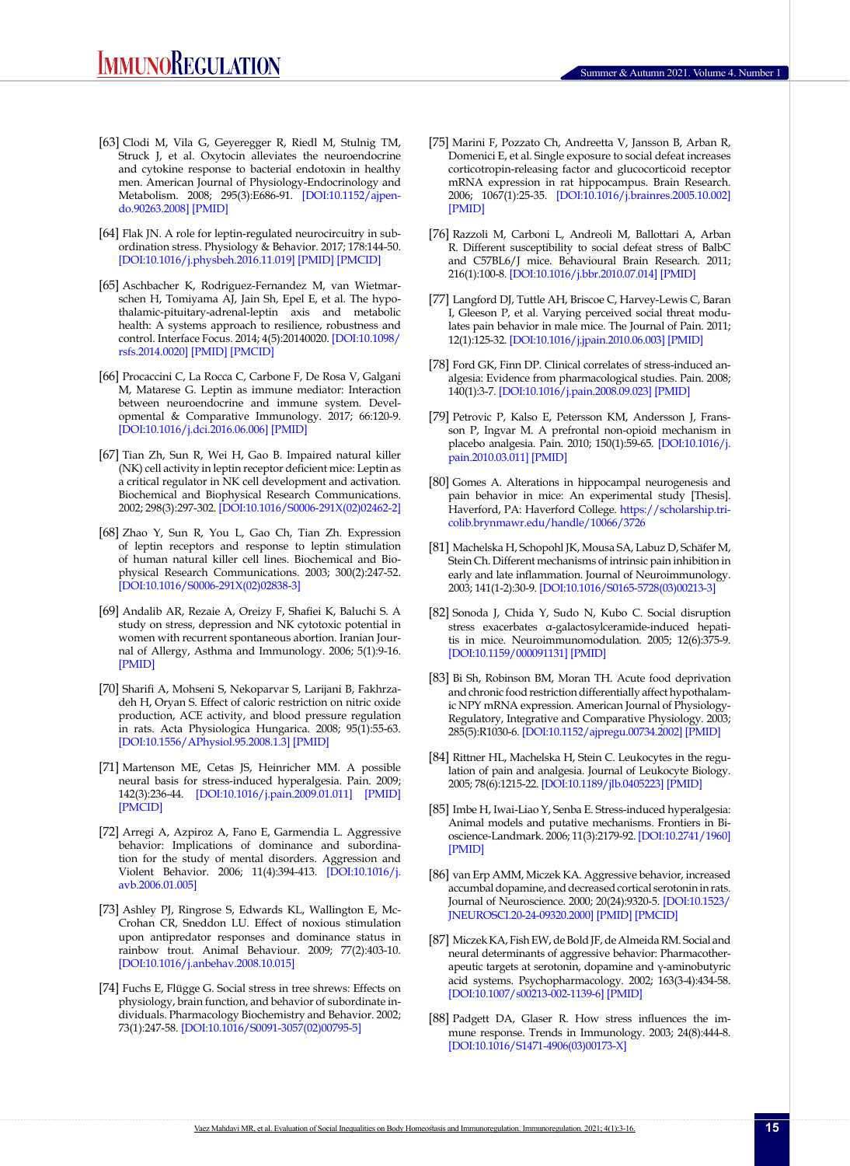- [63] Clodi M, Vila G, Geyeregger R, Riedl M, Stulnig TM, Struck J, et al. Oxytocin alleviates the neuroendocrine and cytokine response to bacterial endotoxin in healthy men. American Journal of Physiology-Endocrinology and Metabolism. 2008; 295(3):E686-91. [\[DOI:10.1152/ajpen](https://doi.org/10.1152/ajpendo.90263.2008)[do.90263.2008](https://doi.org/10.1152/ajpendo.90263.2008)] [\[PMID](https://www.ncbi.nlm.nih.gov/pubmed/18593851)]
- [64] Flak JN. A role for leptin-regulated neurocircuitry in subordination stress. Physiology & Behavior. 2017; 178:144-50. [[DOI:10.1016/j.physbeh.2016.11.019](https://doi.org/10.1016/j.physbeh.2016.11.019)] [\[PMID](https://www.ncbi.nlm.nih.gov/pubmed/27887997)] [\[PMCID\]](http://www.ncbi.nlm.nih.gov/pmc/articles/PMC5440215)
- [65] Aschbacher K, Rodriguez-Fernandez M, van Wietmarschen H, Tomiyama AJ, Jain Sh, Epel E, et al. The hypothalamic-pituitary-adrenal-leptin axis and metabolic health: A systems approach to resilience, robustness and control. Interface Focus. 2014; 4(5):20140020. [[DOI:10.1098/](https://doi.org/10.1098/rsfs.2014.0020) [rsfs.2014.0020\]](https://doi.org/10.1098/rsfs.2014.0020) [[PMID\]](https://www.ncbi.nlm.nih.gov/pubmed/25285198) [[PMCID](http://www.ncbi.nlm.nih.gov/pmc/articles/PMC4142017)]
- [66] Procaccini C, La Rocca C, Carbone F, De Rosa V, Galgani M, Matarese G. Leptin as immune mediator: Interaction between neuroendocrine and immune system. Developmental & Comparative Immunology. 2017; 66:120-9. [[DOI:10.1016/j.dci.2016.06.006\]](https://doi.org/10.1016/j.dci.2016.06.006) [\[PMID](https://www.ncbi.nlm.nih.gov/pubmed/27288847)]
- [67] Tian Zh, Sun R, Wei H, Gao B. Impaired natural killer (NK) cell activity in leptin receptor deficient mice: Leptin as a critical regulator in NK cell development and activation. Biochemical and Biophysical Research Communications. 2002; 298(3):297-302. [\[DOI:10.1016/S0006-291X\(02\)02462-2](https://doi.org/10.1016/S0006-291X(02)02462-2)]
- [68] Zhao Y, Sun R, You L, Gao Ch, Tian Zh. Expression of leptin receptors and response to leptin stimulation of human natural killer cell lines. Biochemical and Biophysical Research Communications. 2003; 300(2):247-52. [[DOI:10.1016/S0006-291X\(02\)02838-3](https://doi.org/10.1016/S0006-291X(02)02838-3)]
- [69] Andalib AR, Rezaie A, Oreizy F, Shafiei K, Baluchi S. A study on stress, depression and NK cytotoxic potential in women with recurrent spontaneous abortion. Iranian Journal of Allergy, Asthma and Immunology. 2006; 5(1):9-16. [\[PMID\]](https://pubmed.ncbi.nlm.nih.gov/17242498/)
- [70] Sharifi A, Mohseni S, Nekoparvar S, Larijani B, Fakhrzadeh H, Oryan S. Effect of caloric restriction on nitric oxide production, ACE activity, and blood pressure regulation in rats. Acta Physiologica Hungarica. 2008; 95(1):55-63. [[DOI:10.1556/APhysiol.95.2008.1.3\]](https://doi.org/10.1556/APhysiol.95.2008.1.3) [[PMID\]](https://www.ncbi.nlm.nih.gov/pubmed/18389998)
- [71] Martenson ME, Cetas JS, Heinricher MM. A possible neural basis for stress-induced hyperalgesia. Pain. 2009; 142(3):236-44. [\[DOI:10.1016/j.pain.2009.01.011](https://doi.org/10.1016/j.pain.2009.01.011)] [\[PMID](https://www.ncbi.nlm.nih.gov/pubmed/19232470)] [[PMCID](http://www.ncbi.nlm.nih.gov/pmc/articles/PMC2676435)]
- <span id="page-12-0"></span>[72] Arregi A, Azpiroz A, Fano E, Garmendia L. Aggressive behavior: Implications of dominance and subordination for the study of mental disorders. Aggression and Violent Behavior. 2006; 11(4):394-413. [[DOI:10.1016/j.](https://doi.org/10.1016/j.avb.2006.01.005) [avb.2006.01.005\]](https://doi.org/10.1016/j.avb.2006.01.005)
- <span id="page-12-1"></span>[73] Ashley PJ, Ringrose S, Edwards KL, Wallington E, Mc-Crohan CR, Sneddon LU. Effect of noxious stimulation upon antipredator responses and dominance status in rainbow trout. Animal Behaviour. 2009; 77(2):403-10. [[DOI:10.1016/j.anbehav.2008.10.015\]](https://doi.org/10.1016/j.anbehav.2008.10.015)
- [74] Fuchs E, Flügge G. Social stress in tree shrews: Effects on physiology, brain function, and behavior of subordinate individuals. Pharmacology Biochemistry and Behavior. 2002; 73(1):247-58. [\[DOI:10.1016/S0091-3057\(02\)00795-5\]](https://doi.org/10.1016/S0091-3057(02)00795-5)
- [75] Marini F, Pozzato Ch, Andreetta V, Jansson B, Arban R, Domenici E, et al. Single exposure to social defeat increases corticotropin-releasing factor and glucocorticoid receptor mRNA expression in rat hippocampus. Brain Research. 2006; 1067(1):25-35. [[DOI:10.1016/j.brainres.2005.10.002\]](https://doi.org/10.1016/j.brainres.2005.10.002) [\[PMID](https://www.ncbi.nlm.nih.gov/pubmed/16360122)]
- [76] Razzoli M, Carboni L, Andreoli M, Ballottari A, Arban R. Different susceptibility to social defeat stress of BalbC and C57BL6/J mice. Behavioural Brain Research. 2011; 216(1):100-8. [\[DOI:10.1016/j.bbr.2010.07.014](https://doi.org/10.1016/j.bbr.2010.07.014)] [\[PMID\]](https://www.ncbi.nlm.nih.gov/pubmed/20654656)
- [77] Langford DJ, Tuttle AH, Briscoe C, Harvey-Lewis C, Baran I, Gleeson P, et al. Varying perceived social threat modulates pain behavior in male mice. The Journal of Pain. 2011; 12(1):125-32. [\[DOI:10.1016/j.jpain.2010.06.003\]](https://doi.org/10.1016/j.jpain.2010.06.003) [\[PMID](https://www.ncbi.nlm.nih.gov/pubmed/20685172)]
- <span id="page-12-2"></span>[78] Ford GK, Finn DP. Clinical correlates of stress-induced analgesia: Evidence from pharmacological studies. Pain. 2008; 140(1):3-7. [\[DOI:10.1016/j.pain.2008.09.023](https://doi.org/10.1016/j.pain.2008.09.023)] [\[PMID\]](https://www.ncbi.nlm.nih.gov/pubmed/18930350)
- [79] Petrovic P, Kalso E, Petersson KM, Andersson J, Fransson P, Ingvar M. A prefrontal non-opioid mechanism in placebo analgesia. Pain. 2010; 150(1):59-65. [[DOI:10.1016/j.](https://doi.org/10.1016/j.pain.2010.03.011) [pain.2010.03.011\]](https://doi.org/10.1016/j.pain.2010.03.011) [[PMID](https://www.ncbi.nlm.nih.gov/pubmed/20399560)]
- <span id="page-12-3"></span>[80] Gomes A. Alterations in hippocampal neurogenesis and pain behavior in mice: An experimental study [Thesis]. Haverford, PA: Haverford College. [https://scholarship.tri](https://scholarship.tricolib.brynmawr.edu/handle/10066/3726)[colib.brynmawr.edu/handle/10066/3726](https://scholarship.tricolib.brynmawr.edu/handle/10066/3726)
- [81] Machelska H, Schopohl JK, Mousa SA, Labuz D, Schäfer M, Stein Ch. Different mechanisms of intrinsic pain inhibition in early and late inflammation. Journal of Neuroimmunology. 2003; 141(1-2):30-9. [[DOI:10.1016/S0165-5728\(03\)00213-3](https://doi.org/10.1016/S0165-5728(03)00213-3)]
- [82] Sonoda J, Chida Y, Sudo N, Kubo C. Social disruption stress exacerbates α-galactosylceramide-induced hepatitis in mice. Neuroimmunomodulation. 2005; 12(6):375-9. [\[DOI:10.1159/000091131\]](https://doi.org/10.1159/000091131) [[PMID](https://www.ncbi.nlm.nih.gov/pubmed/16557038)]
- [83] Bi Sh, Robinson BM, Moran TH. Acute food deprivation and chronic food restriction differentially affect hypothalamic NPY mRNA expression. American Journal of Physiology-Regulatory, Integrative and Comparative Physiology. 2003; 285(5):R1030-6. [\[DOI:10.1152/ajpregu.00734.2002](https://doi.org/10.1152/ajpregu.00734.2002)] [\[PMID\]](https://www.ncbi.nlm.nih.gov/pubmed/12842868)
- <span id="page-12-4"></span>[84] Rittner HL, Machelska H, Stein C. Leukocytes in the regulation of pain and analgesia. Journal of Leukocyte Biology. 2005; 78(6):1215-22. [\[DOI:10.1189/jlb.0405223\]](https://doi.org/10.1189/jlb.0405223) [[PMID](https://www.ncbi.nlm.nih.gov/pubmed/16204636)]
- [85] Imbe H, Iwai-Liao Y, Senba E. Stress-induced hyperalgesia: Animal models and putative mechanisms. Frontiers in Bioscience-Landmark. 2006; 11(3):2179-92. [\[DOI:10.2741/1960\]](https://doi.org/10.2741/1960) [\[PMID\]](https://www.ncbi.nlm.nih.gov/pubmed/16720304)
- [86] van Erp AMM, Miczek KA. Aggressive behavior, increased accumbal dopamine, and decreased cortical serotonin in rats. Journal of Neuroscience. 2000; 20(24):9320-5. [\[DOI:10.1523/](https://doi.org/10.1523/JNEUROSCI.20-24-09320.2000) [JNEUROSCI.20-24-09320.2000\]](https://doi.org/10.1523/JNEUROSCI.20-24-09320.2000) [\[PMID](https://www.ncbi.nlm.nih.gov/pubmed/11125011)] [\[PMCID](http://www.ncbi.nlm.nih.gov/pmc/articles/PMC6773005)]
- [87] Miczek KA, Fish EW, de Bold JF, de Almeida RM. Social and neural determinants of aggressive behavior: Pharmacotherapeutic targets at serotonin, dopamine and γ-aminobutyric acid systems. Psychopharmacology. 2002; 163(3-4):434-58. [\[DOI:10.1007/s00213-002-1139-6](https://doi.org/10.1007/s00213-002-1139-6)] [\[PMID](https://www.ncbi.nlm.nih.gov/pubmed/12373445)]
- [88] Padgett DA, Glaser R. How stress influences the immune response. Trends in Immunology. 2003; 24(8):444-8. [\[DOI:10.1016/S1471-4906\(03\)00173-X](https://doi.org/10.1016/S1471-4906(03)00173-X)]